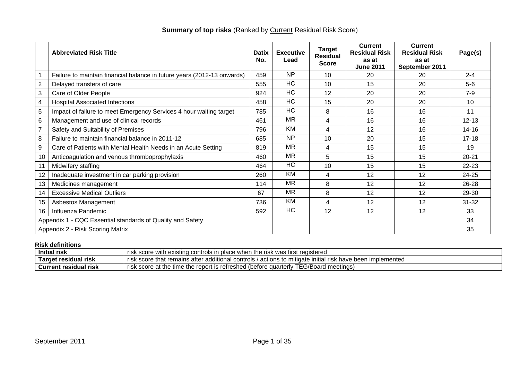|                | <b>Abbreviated Risk Title</b>                                           | <b>Datix</b><br>No. | <b>Executive</b><br>Lead | <b>Target</b><br>Residual<br><b>Score</b> | <b>Current</b><br><b>Residual Risk</b><br>as at<br><b>June 2011</b> | <b>Current</b><br><b>Residual Risk</b><br>as at<br>September 2011 | Page(s)   |
|----------------|-------------------------------------------------------------------------|---------------------|--------------------------|-------------------------------------------|---------------------------------------------------------------------|-------------------------------------------------------------------|-----------|
|                | Failure to maintain financial balance in future years (2012-13 onwards) | 459                 | <b>NP</b>                | 10                                        | 20                                                                  | 20                                                                | $2 - 4$   |
| $\overline{2}$ | Delayed transfers of care                                               | 555                 | <b>HC</b>                | 10                                        | 15                                                                  | 20                                                                | $5-6$     |
| 3              | Care of Older People                                                    | 924                 | H <sub>C</sub>           | 12                                        | 20                                                                  | 20                                                                | $7-9$     |
| 4              | <b>Hospital Associated Infections</b>                                   | 458                 | <b>HC</b>                | 15                                        | 20                                                                  | 20                                                                | 10        |
| 5              | Impact of failure to meet Emergency Services 4 hour waiting target      | 785                 | <b>HC</b>                | 8                                         | 16                                                                  | 16                                                                | 11        |
| $\,6\,$        | Management and use of clinical records                                  | 461                 | <b>MR</b>                | 4                                         | 16                                                                  | 16                                                                | $12 - 13$ |
| $\overline{7}$ | Safety and Suitability of Premises                                      | 796                 | KM                       | 4                                         | 12                                                                  | 16                                                                | $14 - 16$ |
| 8              | Failure to maintain financial balance in 2011-12                        | 685                 | <b>NP</b>                | 10                                        | 20                                                                  | 15                                                                | $17 - 18$ |
| 9              | Care of Patients with Mental Health Needs in an Acute Setting           | 819                 | <b>MR</b>                | 4                                         | 15                                                                  | 15                                                                | 19        |
| 10             | Anticoagulation and venous thromboprophylaxis                           | 460                 | <b>MR</b>                | 5                                         | 15                                                                  | 15                                                                | $20 - 21$ |
| 11             | Midwifery staffing                                                      | 464                 | HC                       | 10                                        | 15                                                                  | 15                                                                | $22 - 23$ |
| 12             | Inadequate investment in car parking provision                          | 260                 | KM                       | 4                                         | 12                                                                  | 12                                                                | 24-25     |
| 13             | Medicines management                                                    | 114                 | <b>MR</b>                | 8                                         | 12                                                                  | 12                                                                | 26-28     |
| 14             | <b>Excessive Medical Outliers</b>                                       | 67                  | <b>MR</b>                | 8                                         | 12                                                                  | 12                                                                | 29-30     |
| 15             | Asbestos Management                                                     | 736                 | KM                       | 4                                         | 12                                                                  | 12                                                                | $31 - 32$ |
| 16             | Influenza Pandemic                                                      | 592                 | HC                       | 12                                        | 12                                                                  | 12                                                                | 33        |
|                | Appendix 1 - CQC Essential standards of Quality and Safety              |                     |                          |                                           |                                                                     |                                                                   | 34        |
|                | Appendix 2 - Risk Scoring Matrix                                        |                     |                          |                                           |                                                                     |                                                                   | 35        |

# **Summary of top risks** (Ranked by **Current Residual Risk Score)**

### **Risk definitions**

| .<br><b>Initial risk</b><br>า the risk was first registered<br>score with<br>i place when<br>n existing controls in |                                                                                                                                        |  |
|---------------------------------------------------------------------------------------------------------------------|----------------------------------------------------------------------------------------------------------------------------------------|--|
| Target residual risk                                                                                                | atter<br>implemented<br>score that remains<br>additional controls .<br>: been<br>s to mitigate initial risk<br>actions<br>have<br>rısk |  |
| <b>Current residual risk</b>                                                                                        | TTC/D<br>」(betore<br>l meetinas)<br>score at the time the report<br>' EG/Board .<br>quarterly<br>t is refreshed.<br>rısk               |  |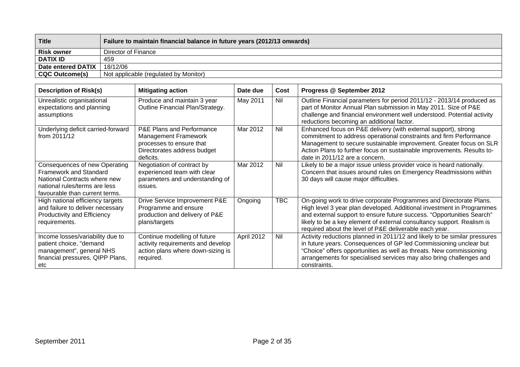| <b>Title</b>          | Failure to maintain financial balance in future years (2012/13 onwards) |
|-----------------------|-------------------------------------------------------------------------|
| <b>Risk owner</b>     | Director of Finance                                                     |
| <b>DATIX ID</b>       | 459                                                                     |
| Date entered DATIX    | 18/12/06                                                                |
| <b>CQC Outcome(s)</b> | Not applicable (regulated by Monitor)                                   |

| <b>Description of Risk(s)</b>                                                                                                                                     | <b>Mitigating action</b>                                                                                                         | Date due   | Cost       | Progress @ September 2012                                                                                                                                                                                                                                                                                                                                |
|-------------------------------------------------------------------------------------------------------------------------------------------------------------------|----------------------------------------------------------------------------------------------------------------------------------|------------|------------|----------------------------------------------------------------------------------------------------------------------------------------------------------------------------------------------------------------------------------------------------------------------------------------------------------------------------------------------------------|
| Unrealistic organisational<br>expectations and planning<br>assumptions                                                                                            | Produce and maintain 3 year<br>Outline Financial Plan/Strategy.                                                                  | May 2011   | Nil        | Outline Financial parameters for period 2011/12 - 2013/14 produced as<br>part of Monitor Annual Plan submission in May 2011. Size of P&E<br>challenge and financial environment well understood. Potential activity<br>reductions becoming an additional factor.                                                                                         |
| Underlying deficit carried-forward<br>from 2011/12                                                                                                                | P&E Plans and Performance<br><b>Management Framework</b><br>processes to ensure that<br>Directorates address budget<br>deficits. | Mar 2012   | Nil        | Enhanced focus on P&E delivery (with external support), strong<br>commitment to address operational constraints and firm Performance<br>Management to secure sustainable improvement. Greater focus on SLR<br>Action Plans to further focus on sustainable improvements. Results to-<br>date in 2011/12 are a concern.                                   |
| Consequences of new Operating<br><b>Framework and Standard</b><br>National Contracts where new<br>national rules/terms are less<br>favourable than current terms. | Negotiation of contract by<br>experienced team with clear<br>parameters and understanding of<br>issues.                          | Mar 2012   | Nil        | Likely to be a major issue unless provider voice is heard nationally.<br>Concern that issues around rules on Emergency Readmissions within<br>30 days will cause major difficulties.                                                                                                                                                                     |
| High national efficiency targets<br>and failure to deliver necessary<br>Productivity and Efficiency<br>requirements.                                              | Drive Service Improvement P&E<br>Programme and ensure<br>production and delivery of P&E<br>plans/targets                         | Ongoing    | <b>TBC</b> | On-going work to drive corporate Programmes and Directorate Plans.<br>High level 3 year plan developed. Additional investment in Programmes<br>and external support to ensure future success. "Opportunities Search"<br>likely to be a key element of external consultancy support. Realism is<br>required about the level of P&E deliverable each year. |
| Income losses/variability due to<br>patient choice, "demand<br>management", general NHS<br>financial pressures, QIPP Plans,<br>etc                                | Continue modelling of future<br>activity requirements and develop<br>action plans where down-sizing is<br>required.              | April 2012 | Nil        | Activity reductions planned in 2011/12 and likely to be similar pressures<br>in future years. Consequences of GP led Commissioning unclear but<br>"Choice" offers opportunities as well as threats. New commissioning<br>arrangements for specialised services may also bring challenges and<br>constraints.                                             |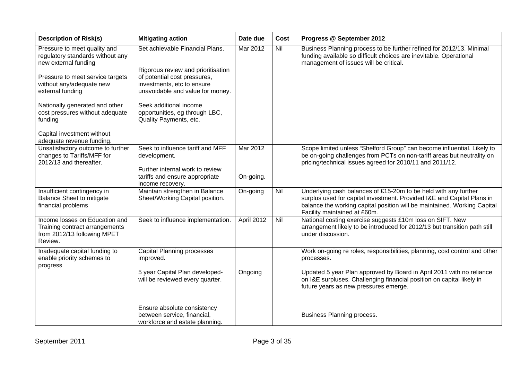| <b>Description of Risk(s)</b>                                                                              | <b>Mitigating action</b>                                                                       | Date due   | Cost | Progress @ September 2012                                                                                                                                                                                                                             |
|------------------------------------------------------------------------------------------------------------|------------------------------------------------------------------------------------------------|------------|------|-------------------------------------------------------------------------------------------------------------------------------------------------------------------------------------------------------------------------------------------------------|
| Pressure to meet quality and<br>regulatory standards without any<br>new external funding                   | Set achievable Financial Plans.<br>Rigorous review and prioritisation                          | Mar 2012   | Nil  | Business Planning process to be further refined for 2012/13. Minimal<br>funding available so difficult choices are inevitable. Operational<br>management of issues will be critical.                                                                  |
| Pressure to meet service targets<br>without any/adequate new<br>external funding                           | of potential cost pressures,<br>investments, etc to ensure<br>unavoidable and value for money. |            |      |                                                                                                                                                                                                                                                       |
| Nationally generated and other<br>cost pressures without adequate<br>funding                               | Seek additional income<br>opportunities, eg through LBC,<br>Quality Payments, etc.             |            |      |                                                                                                                                                                                                                                                       |
| Capital investment without<br>adequate revenue funding.                                                    |                                                                                                |            |      |                                                                                                                                                                                                                                                       |
| Unsatisfactory outcome to further<br>changes to Tariffs/MFF for<br>2012/13 and thereafter.                 | Seek to influence tariff and MFF<br>development.<br>Further internal work to review            | Mar 2012   |      | Scope limited unless "Shelford Group" can become influential. Likely to<br>be on-going challenges from PCTs on non-tariff areas but neutrality on<br>pricing/technical issues agreed for 2010/11 and 2011/12.                                         |
|                                                                                                            | tariffs and ensure appropriate<br>income recovery.                                             | On-going.  |      |                                                                                                                                                                                                                                                       |
| Insufficient contingency in<br><b>Balance Sheet to mitigate</b><br>financial problems                      | Maintain strengthen in Balance<br>Sheet/Working Capital position.                              | On-going   | Nil  | Underlying cash balances of £15-20m to be held with any further<br>surplus used for capital investment. Provided I&E and Capital Plans in<br>balance the working capital position will be maintained. Working Capital<br>Facility maintained at £60m. |
| Income losses on Education and<br>Training contract arrangements<br>from 2012/13 following MPET<br>Review. | Seek to influence implementation.                                                              | April 2012 | Nil  | National costing exercise suggests £10m loss on SIFT. New<br>arrangement likely to be introduced for 2012/13 but transition path still<br>under discussion.                                                                                           |
| Inadequate capital funding to<br>enable priority schemes to                                                | <b>Capital Planning processes</b><br>improved.                                                 |            |      | Work on-going re roles, responsibilities, planning, cost control and other<br>processes.                                                                                                                                                              |
| progress                                                                                                   | 5 year Capital Plan developed-<br>will be reviewed every quarter.                              | Ongoing    |      | Updated 5 year Plan approved by Board in April 2011 with no reliance<br>on I&E surpluses. Challenging financial position on capital likely in<br>future years as new pressures emerge.                                                                |
|                                                                                                            | Ensure absolute consistency<br>between service, financial,<br>workforce and estate planning.   |            |      | Business Planning process.                                                                                                                                                                                                                            |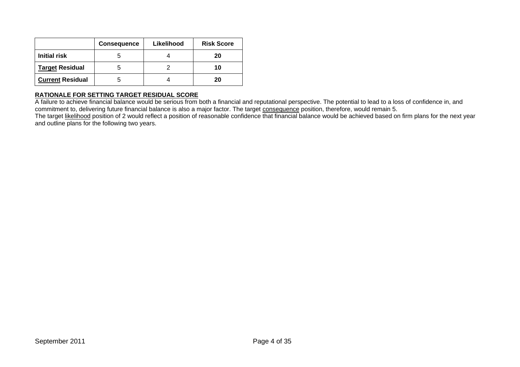|                         | <b>Consequence</b> | Likelihood | <b>Risk Score</b> |
|-------------------------|--------------------|------------|-------------------|
| Initial risk            |                    |            | 20                |
| <b>Target Residual</b>  |                    |            | 10                |
| <b>Current Residual</b> |                    |            | 20                |

A failure to achieve financial balance would be serious from both a financial and reputational perspective. The potential to lead to a loss of confidence in, and commitment to, delivering future financial balance is also a major factor. The target consequence position, therefore, would remain 5. The target likelihood position of 2 would reflect a position of reasonable confidence that financial balance would be achieved based on firm plans for the next year

and outline plans for the following two years.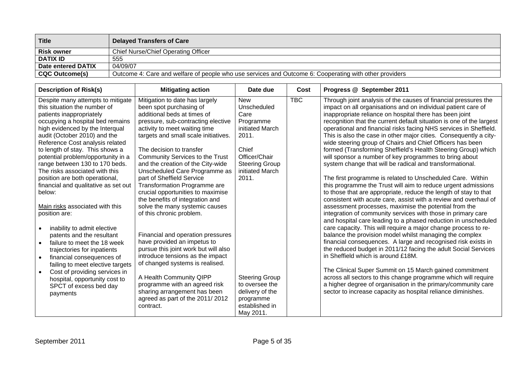| <b>Title</b>          | <b>Delayed Transfers of Care</b>                                                                       |
|-----------------------|--------------------------------------------------------------------------------------------------------|
| <b>Risk owner</b>     | <b>Chief Nurse/Chief Operating Officer</b>                                                             |
| <b>DATIX ID</b>       | 555                                                                                                    |
| Date entered DATIX    | 04/09/07                                                                                               |
| <b>CQC Outcome(s)</b> | Outcome 4: Care and welfare of people who use services and Outcome 6: Cooperating with other providers |

| <b>Description of Risk(s)</b>                                                                                                                                                                                                                                                                                                                                                                                                                                                                                                | <b>Mitigating action</b>                                                                                                                                                                                                                                                                                                                                                                                                                                                                                                                               | Date due                                                                                                                                                  | Cost       | Progress @ September 2011                                                                                                                                                                                                                                                                                                                                                                                                                                                                                                                                                                                                                                                                                                                                                                                                                                                                                                                                                                                                                                                                                                           |
|------------------------------------------------------------------------------------------------------------------------------------------------------------------------------------------------------------------------------------------------------------------------------------------------------------------------------------------------------------------------------------------------------------------------------------------------------------------------------------------------------------------------------|--------------------------------------------------------------------------------------------------------------------------------------------------------------------------------------------------------------------------------------------------------------------------------------------------------------------------------------------------------------------------------------------------------------------------------------------------------------------------------------------------------------------------------------------------------|-----------------------------------------------------------------------------------------------------------------------------------------------------------|------------|-------------------------------------------------------------------------------------------------------------------------------------------------------------------------------------------------------------------------------------------------------------------------------------------------------------------------------------------------------------------------------------------------------------------------------------------------------------------------------------------------------------------------------------------------------------------------------------------------------------------------------------------------------------------------------------------------------------------------------------------------------------------------------------------------------------------------------------------------------------------------------------------------------------------------------------------------------------------------------------------------------------------------------------------------------------------------------------------------------------------------------------|
| Despite many attempts to mitigate<br>this situation the number of<br>patients inappropriately<br>occupying a hospital bed remains<br>high evidenced by the Interqual<br>audit (October 2010) and the<br>Reference Cost analysis related<br>to length of stay. This shows a<br>potential problem/opportunity in a<br>range between 130 to 170 beds.<br>The risks associated with this<br>position are both operational,<br>financial and qualitative as set out<br>below:<br>Main risks associated with this<br>position are: | Mitigation to date has largely<br>been spot purchasing of<br>additional beds at times of<br>pressure, sub-contracting elective<br>activity to meet waiting time<br>targets and small scale initiatives.<br>The decision to transfer<br>Community Services to the Trust<br>and the creation of the City-wide<br>Unscheduled Care Programme as<br>part of Sheffield Service<br><b>Transformation Programme are</b><br>crucial opportunities to maximise<br>the benefits of integration and<br>solve the many systemic causes<br>of this chronic problem. | <b>New</b><br>Unscheduled<br>Care<br>Programme<br>initiated March<br>2011.<br>Chief<br>Officer/Chair<br><b>Steering Group</b><br>initiated March<br>2011. | <b>TBC</b> | Through joint analysis of the causes of financial pressures the<br>impact on all organisations and on individual patient care of<br>inappropriate reliance on hospital there has been joint<br>recognition that the current default situation is one of the largest<br>operational and financial risks facing NHS services in Sheffield.<br>This is also the case in other major cities. Consequently a city-<br>wide steering group of Chairs and Chief Officers has been<br>formed (Transforming Sheffield's Health Steering Group) which<br>will sponsor a number of key programmes to bring about<br>system change that will be radical and transformational.<br>The first programme is related to Unscheduled Care. Within<br>this programme the Trust will aim to reduce urgent admissions<br>to those that are appropriate, reduce the length of stay to that<br>consistent with acute care, assist with a review and overhaul of<br>assessment processes, maximise the potential from the<br>integration of community services with those in primary care<br>and hospital care leading to a phased reduction in unscheduled |
| inability to admit elective<br>patents and the resultant<br>failure to meet the 18 week<br>trajectories for inpatients<br>financial consequences of<br>$\bullet$<br>failing to meet elective targets<br>Cost of providing services in<br>hospital, opportunity cost to<br>SPCT of excess bed day<br>payments                                                                                                                                                                                                                 | Financial and operation pressures<br>have provided an impetus to<br>pursue this joint work but will also<br>introduce tensions as the impact<br>of changed systems is realised.<br>A Health Community QIPP<br>programme with an agreed risk<br>sharing arrangement has been<br>agreed as part of the 2011/2012<br>contract.                                                                                                                                                                                                                            | <b>Steering Group</b><br>to oversee the<br>delivery of the<br>programme<br>established in<br>May 2011.                                                    |            | care capacity. This will require a major change process to re-<br>balance the provision model whilst managing the complex<br>financial consequences. A large and recognised risk exists in<br>the reduced budget in 2011/12 facing the adult Social Services<br>in Sheffield which is around £18M.<br>The Clinical Super Summit on 15 March gained commitment<br>across all sectors to this change programme which will require<br>a higher degree of organisation in the primary/community care<br>sector to increase capacity as hospital reliance diminishes.                                                                                                                                                                                                                                                                                                                                                                                                                                                                                                                                                                    |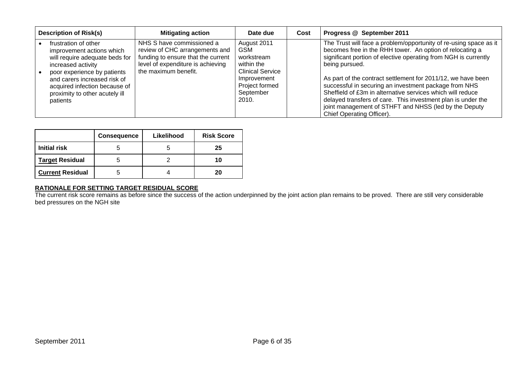| <b>Description of Risk(s)</b>                                                                                                                                                                                                                           | <b>Mitigating action</b>                                                                                                                                       | Date due                                                                                                                                | Cost | Progress @ September 2011                                                                                                                                                                                                                                                                                                                                                                                                                                                                                                                                       |
|---------------------------------------------------------------------------------------------------------------------------------------------------------------------------------------------------------------------------------------------------------|----------------------------------------------------------------------------------------------------------------------------------------------------------------|-----------------------------------------------------------------------------------------------------------------------------------------|------|-----------------------------------------------------------------------------------------------------------------------------------------------------------------------------------------------------------------------------------------------------------------------------------------------------------------------------------------------------------------------------------------------------------------------------------------------------------------------------------------------------------------------------------------------------------------|
| frustration of other<br>improvement actions which<br>will require adequate beds for<br>increased activity<br>poor experience by patients<br>and carers increased risk of<br>acquired infection because of<br>proximity to other acutely ill<br>patients | NHS S have commissioned a<br>review of CHC arrangements and<br>funding to ensure that the current<br>level of expenditure is achieving<br>the maximum benefit. | August 2011<br><b>GSM</b><br>workstream<br>within the<br><b>Clinical Service</b><br>Improvement<br>Project formed<br>September<br>2010. |      | The Trust will face a problem/opportunity of re-using space as it<br>becomes free in the RHH tower. An option of relocating a<br>significant portion of elective operating from NGH is currently<br>being pursued.<br>As part of the contract settlement for 2011/12, we have been<br>successful in securing an investment package from NHS<br>Sheffield of £3m in alternative services which will reduce<br>delayed transfers of care. This investment plan is under the<br>joint management of STHFT and NHSS (led by the Deputy<br>Chief Operating Officer). |

|                         | <b>Consequence</b> | Likelihood | <b>Risk Score</b> |
|-------------------------|--------------------|------------|-------------------|
| <b>Initial risk</b>     |                    |            | 25                |
| <b>Target Residual</b>  |                    |            | 10                |
| <b>Current Residual</b> |                    |            | 20                |

**RATIONALE FOR SETTING TARGET RESIDUAL SCORE** The current risk score remains as before since the success of the action underpinned by the joint action plan remains to be proved. There are still very considerable bed pressures on the NGH site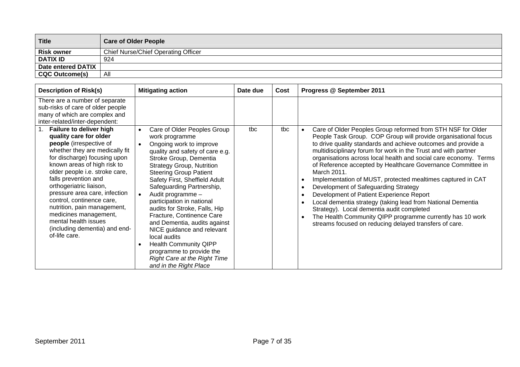| <b>Title</b>              | <b>Care of Older People</b>                |
|---------------------------|--------------------------------------------|
| <b>Risk owner</b>         | <b>Chief Nurse/Chief Operating Officer</b> |
| <b>DATIX ID</b>           | 924                                        |
| <b>Date entered DATIX</b> |                                            |
| <b>CQC Outcome(s)</b>     | All                                        |

| <b>Description of Risk(s)</b>                                                                                                                                                                                                                                                                                                                                                                                                           | <b>Mitigating action</b>                                                                                                                                                                                                                                                                                                                                                                                                                                                                                                                                             | Date due | Cost | Progress @ September 2011                                                                                                                                                                                                                                                                                                                                                                                                                                                                                                                                                                                                                                                                                                                 |
|-----------------------------------------------------------------------------------------------------------------------------------------------------------------------------------------------------------------------------------------------------------------------------------------------------------------------------------------------------------------------------------------------------------------------------------------|----------------------------------------------------------------------------------------------------------------------------------------------------------------------------------------------------------------------------------------------------------------------------------------------------------------------------------------------------------------------------------------------------------------------------------------------------------------------------------------------------------------------------------------------------------------------|----------|------|-------------------------------------------------------------------------------------------------------------------------------------------------------------------------------------------------------------------------------------------------------------------------------------------------------------------------------------------------------------------------------------------------------------------------------------------------------------------------------------------------------------------------------------------------------------------------------------------------------------------------------------------------------------------------------------------------------------------------------------------|
| There are a number of separate<br>sub-risks of care of older people<br>many of which are complex and<br>inter-related/inter-dependent:<br>Failure to deliver high                                                                                                                                                                                                                                                                       | Care of Older Peoples Group                                                                                                                                                                                                                                                                                                                                                                                                                                                                                                                                          | tbc      | tbc  | Care of Older Peoples Group reformed from STH NSF for Older                                                                                                                                                                                                                                                                                                                                                                                                                                                                                                                                                                                                                                                                               |
| quality care for older<br>people (irrespective of<br>whether they are medically fit<br>for discharge) focusing upon<br>known areas of high risk to<br>older people i.e. stroke care,<br>falls prevention and<br>orthogeriatric liaison,<br>pressure area care, infection<br>control, continence care,<br>nutrition, pain management,<br>medicines management,<br>mental health issues<br>(including dementia) and end-<br>of-life care. | work programme<br>Ongoing work to improve<br>quality and safety of care e.g.<br>Stroke Group, Dementia<br><b>Strategy Group, Nutrition</b><br><b>Steering Group Patient</b><br>Safety First, Sheffield Adult<br>Safeguarding Partnership,<br>Audit programme -<br>participation in national<br>audits for Stroke, Falls, Hip<br>Fracture, Continence Care<br>and Dementia, audits against<br>NICE guidance and relevant<br>local audits<br><b>Health Community QIPP</b><br>programme to provide the<br><b>Right Care at the Right Time</b><br>and in the Right Place |          |      | People Task Group. COP Group will provide organisational focus<br>to drive quality standards and achieve outcomes and provide a<br>multidisciplinary forum for work in the Trust and with partner<br>organisations across local health and social care economy. Terms<br>of Reference accepted by Healthcare Governance Committee in<br>March 2011.<br>Implementation of MUST, protected mealtimes captured in CAT<br>Development of Safeguarding Strategy<br>Development of Patient Experience Report<br>Local dementia strategy (taking lead from National Dementia<br>Strategy). Local dementia audit completed<br>The Health Community QIPP programme currently has 10 work<br>streams focused on reducing delayed transfers of care. |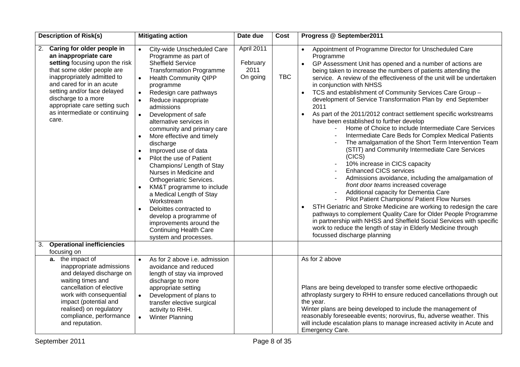| <b>Description of Risk(s)</b>                                                                                                                                                                                                                                                                                          | <b>Mitigating action</b>                                                                                                                                                                                                                                                                                                                                                                                                                                                                                                                                                                                                                                                                                                                                                                       | Date due                                   | <b>Cost</b> | Progress @ September2011                                                                                                                                                                                                                                                                                                                                                                                                                                                                                                                                                                                                                                                                                                                                                                                                                                                                                                                                                                                                                                                                                                                                                                                                                                                                                                                                                                                                    |
|------------------------------------------------------------------------------------------------------------------------------------------------------------------------------------------------------------------------------------------------------------------------------------------------------------------------|------------------------------------------------------------------------------------------------------------------------------------------------------------------------------------------------------------------------------------------------------------------------------------------------------------------------------------------------------------------------------------------------------------------------------------------------------------------------------------------------------------------------------------------------------------------------------------------------------------------------------------------------------------------------------------------------------------------------------------------------------------------------------------------------|--------------------------------------------|-------------|-----------------------------------------------------------------------------------------------------------------------------------------------------------------------------------------------------------------------------------------------------------------------------------------------------------------------------------------------------------------------------------------------------------------------------------------------------------------------------------------------------------------------------------------------------------------------------------------------------------------------------------------------------------------------------------------------------------------------------------------------------------------------------------------------------------------------------------------------------------------------------------------------------------------------------------------------------------------------------------------------------------------------------------------------------------------------------------------------------------------------------------------------------------------------------------------------------------------------------------------------------------------------------------------------------------------------------------------------------------------------------------------------------------------------------|
| Caring for older people in<br>2.<br>an inappropriate care<br>setting focusing upon the risk<br>that some older people are<br>inappropriately admitted to<br>and cared for in an acute<br>setting and/or face delayed<br>discharge to a more<br>appropriate care setting such<br>as intermediate or continuing<br>care. | City-wide Unscheduled Care<br>Programme as part of<br><b>Sheffield Service</b><br><b>Transformation Programme</b><br><b>Health Community QIPP</b><br>$\bullet$<br>programme<br>Redesign care pathways<br>Reduce inappropriate<br>$\bullet$<br>admissions<br>Development of safe<br>$\bullet$<br>alternative services in<br>community and primary care<br>More effective and timely<br>$\bullet$<br>discharge<br>Improved use of data<br>$\bullet$<br>Pilot the use of Patient<br>Champions/ Length of Stay<br>Nurses in Medicine and<br>Orthogeriatric Services.<br>KM&T programme to include<br>$\bullet$<br>a Medical Length of Stay<br>Workstream<br>Deloittes contracted to<br>develop a programme of<br>improvements around the<br><b>Continuing Health Care</b><br>system and processes. | April 2011<br>February<br>2011<br>On going | <b>TBC</b>  | Appointment of Programme Director for Unscheduled Care<br>$\bullet$<br>Programme<br>GP Assessment Unit has opened and a number of actions are<br>being taken to increase the numbers of patients attending the<br>service. A review of the effectiveness of the unit will be undertaken<br>in conjunction with NHSS<br>TCS and establishment of Community Services Care Group -<br>$\bullet$<br>development of Service Transformation Plan by end September<br>2011<br>As part of the 2011/2012 contract settlement specific workstreams<br>$\bullet$<br>have been established to further develop<br>Home of Choice to include Intermediate Care Services<br>Intermediate Care Beds for Complex Medical Patients<br>The amalgamation of the Short Term Intervention Team<br>(STIT) and Community Intermediate Care Services<br>(CICS)<br>10% increase in CICS capacity<br><b>Enhanced CICS services</b><br>Admissions avoidance, including the amalgamation of<br>front door teams increased coverage<br>Additional capacity for Dementia Care<br>Pilot Patient Champions/ Patient Flow Nurses<br>STH Geriatric and Stroke Medicine are working to redesign the care<br>$\bullet$<br>pathways to complement Quality Care for Older People Programme<br>in partnership with NHSS and Sheffield Social Services with specific<br>work to reduce the length of stay in Elderly Medicine through<br>focussed discharge planning |
| <b>Operational inefficiencies</b><br>3.<br>focusing on                                                                                                                                                                                                                                                                 |                                                                                                                                                                                                                                                                                                                                                                                                                                                                                                                                                                                                                                                                                                                                                                                                |                                            |             |                                                                                                                                                                                                                                                                                                                                                                                                                                                                                                                                                                                                                                                                                                                                                                                                                                                                                                                                                                                                                                                                                                                                                                                                                                                                                                                                                                                                                             |
| a. the impact of<br>inappropriate admissions<br>and delayed discharge on<br>waiting times and<br>cancellation of elective<br>work with consequential<br>impact (potential and<br>realised) on regulatory<br>compliance, performance<br>and reputation.                                                                 | As for 2 above i.e. admission<br>avoidance and reduced<br>length of stay via improved<br>discharge to more<br>appropriate setting<br>Development of plans to<br>transfer elective surgical<br>activity to RHH.<br><b>Winter Planning</b><br>$\bullet$                                                                                                                                                                                                                                                                                                                                                                                                                                                                                                                                          |                                            |             | As for 2 above<br>Plans are being developed to transfer some elective orthopaedic<br>athroplasty surgery to RHH to ensure reduced cancellations through out<br>the year.<br>Winter plans are being developed to include the management of<br>reasonably foreseeable events; norovirus, flu, adverse weather. This<br>will include escalation plans to manage increased activity in Acute and<br>Emergency Care.                                                                                                                                                                                                                                                                                                                                                                                                                                                                                                                                                                                                                                                                                                                                                                                                                                                                                                                                                                                                             |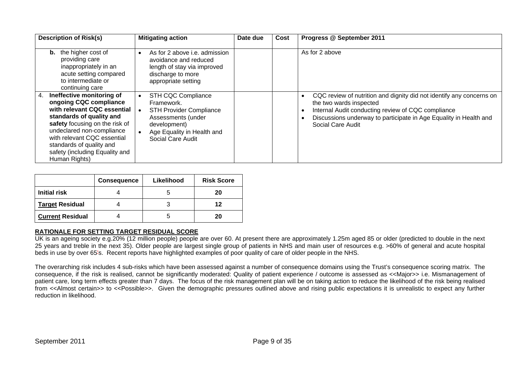| <b>Description of Risk(s)</b>                                                                                                                                                                                                                                                                     | <b>Mitigating action</b>                                                                                                                                    | Date due | Cost | Progress @ September 2011                                                                                                                                                                                                                       |
|---------------------------------------------------------------------------------------------------------------------------------------------------------------------------------------------------------------------------------------------------------------------------------------------------|-------------------------------------------------------------------------------------------------------------------------------------------------------------|----------|------|-------------------------------------------------------------------------------------------------------------------------------------------------------------------------------------------------------------------------------------------------|
| the higher cost of<br>b.<br>providing care<br>inappropriately in an<br>acute setting compared<br>to intermediate or<br>continuing care                                                                                                                                                            | As for 2 above i.e. admission<br>avoidance and reduced<br>length of stay via improved<br>discharge to more<br>appropriate setting                           |          |      | As for 2 above                                                                                                                                                                                                                                  |
| Ineffective monitoring of<br>4.<br>ongoing CQC compliance<br>with relevant CQC essential<br>standards of quality and<br>safety focusing on the risk of<br>undeclared non-compliance<br>with relevant CQC essential<br>standards of quality and<br>safety (including Equality and<br>Human Rights) | STH CQC Compliance<br>Framework.<br><b>STH Provider Compliance</b><br>Assessments (under<br>development)<br>Age Equality in Health and<br>Social Care Audit |          |      | CQC review of nutrition and dignity did not identify any concerns on<br>the two wards inspected<br>Internal Audit conducting review of CQC compliance<br>Discussions underway to participate in Age Equality in Health and<br>Social Care Audit |

|                         | <b>Consequence</b> | Likelihood | <b>Risk Score</b> |
|-------------------------|--------------------|------------|-------------------|
| <b>Initial risk</b>     |                    |            | 20                |
| <b>Target Residual</b>  |                    |            | 12                |
| <b>Current Residual</b> |                    | C          | 20                |

UK is an ageing society e.g.20% (12 million people) people are over 60. At present there are approximately 1.25m aged 85 or older (predicted to double in the next 25 years and treble in the next 35). Older people are largest single group of patients in NHS and main user of resources e.g. >60% of general and acute hospital beds in use by over 65's. Recent reports have highlighted examples of poor quality of care of older people in the NHS.

The overarching risk includes 4 sub-risks which have been assessed against a number of consequence domains using the Trust's consequence scoring matrix. The consequence, if the risk is realised, cannot be significantly moderated: Quality of patient experience / outcome is assessed as <<Major>> i.e. Mismanagement of patient care, long term effects greater than 7 days. The focus of the risk management plan will be on taking action to reduce the likelihood of the risk being realised from <<Almost certain>> to <<Possible>>. Given the demographic pressures outlined above and rising public expectations it is unrealistic to expect any further reduction in likelihood.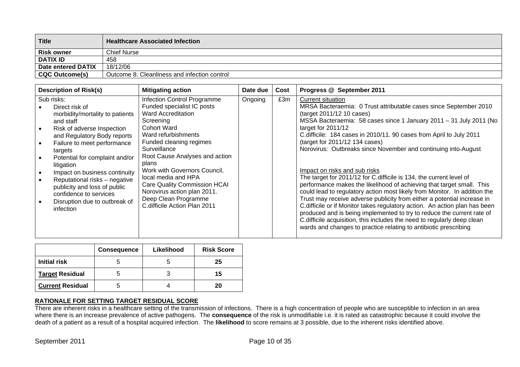| <b>Title</b>              | <b>Healthcare Associated Infection</b>       |
|---------------------------|----------------------------------------------|
| <b>Risk owner</b>         | <b>Chief Nurse</b>                           |
| <b>DATIX ID</b>           | 458                                          |
| <b>Date entered DATIX</b> | 18/12/06                                     |
| <b>CQC Outcome(s)</b>     | Outcome 8: Cleanliness and infection control |

| <b>Description of Risk(s)</b>                                                                                                                                                                                                                                                                                                                                                                                 | <b>Mitigating action</b>                                                                                                                                                                                                                                                                                                                                                                                             | Date due | Cost | Progress @ September 2011                                                                                                                                                                                                                                                                                                                                                                                                                                                                                                                                                                                                                                                                                                                                                                                                                                                                                                                                                                                                                          |
|---------------------------------------------------------------------------------------------------------------------------------------------------------------------------------------------------------------------------------------------------------------------------------------------------------------------------------------------------------------------------------------------------------------|----------------------------------------------------------------------------------------------------------------------------------------------------------------------------------------------------------------------------------------------------------------------------------------------------------------------------------------------------------------------------------------------------------------------|----------|------|----------------------------------------------------------------------------------------------------------------------------------------------------------------------------------------------------------------------------------------------------------------------------------------------------------------------------------------------------------------------------------------------------------------------------------------------------------------------------------------------------------------------------------------------------------------------------------------------------------------------------------------------------------------------------------------------------------------------------------------------------------------------------------------------------------------------------------------------------------------------------------------------------------------------------------------------------------------------------------------------------------------------------------------------------|
| Sub risks:<br>Direct risk of<br>morbidity/mortality to patients<br>and staff<br>Risk of adverse Inspection<br>and Regulatory Body reports<br>Failure to meet performance<br>targets<br>Potential for complaint and/or<br>litigation<br>Impact on business continuity<br>Reputational risks - negative<br>publicity and loss of public<br>confidence to services<br>Disruption due to outbreak of<br>infection | Infection Control Programme<br>Funded specialist IC posts<br>Ward Accreditation<br>Screening<br><b>Cohort Ward</b><br>Ward refurbishments<br>Funded cleaning regimes<br>Surveillance<br>Root Cause Analyses and action<br>plans<br>Work with Governors Council,<br>local media and HPA<br><b>Care Quality Commission HCAI</b><br>Norovirus action plan 2011.<br>Deep Clean Programme<br>C.difficile Action Plan 2011 | Ongoing  | £3m  | <b>Current situation</b><br>MRSA Bacteraemia: 0 Trust attributable cases since September 2010<br>(target 2011/12 10 cases)<br>MSSA Bacteraemia: 58 cases since 1 January 2011 - 31 July 2011 (No<br>target for 2011/12<br>C.difficile: 184 cases in 2010/11. 90 cases from April to July 2011<br>(target for 2011/12 134 cases)<br>Norovirus: Outbreaks since November and continuing into-August<br>Impact on risks and sub risks<br>The target for 2011/12 for C. difficile is 134, the current level of<br>performance makes the likelihood of achieving that target small. This<br>could lead to regulatory action most likely from Monitor. In addition the<br>Trust may receive adverse publicity from either a potential increase in<br>C.difficile or if Monitor takes regulatory action. An action plan has been<br>produced and is being implemented to try to reduce the current rate of<br>C.difficile acquisition, this includes the need to regularly deep clean<br>wards and changes to practice relating to antibiotic prescribing |

|                         | <b>Consequence</b> | Likelihood | <b>Risk Score</b> |
|-------------------------|--------------------|------------|-------------------|
| Initial risk            |                    |            | 25                |
| <b>Target Residual</b>  |                    |            | 15                |
| <b>Current Residual</b> |                    |            | 20                |

There are inherent risks in a healthcare setting of the transmission of infections. There is a high concentration of people who are susceptible to infection in an area where there is an increase prevalence of active pathogens. The **consequence** of the risk is unmodifiable i.e. it is rated as catastrophic because it could involve the death of a patient as a result of a hospital acquired infection. The **likelihood** to score remains at 3 possible, due to the inherent risks identified above.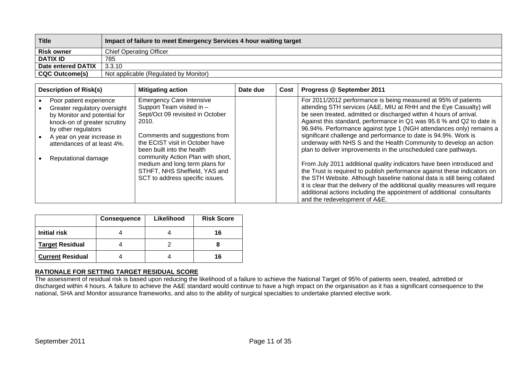| <b>Title</b>          | Impact of failure to meet Emergency Services 4 hour waiting target |
|-----------------------|--------------------------------------------------------------------|
| <b>Risk owner</b>     | <b>Chief Operating Officer</b>                                     |
| <b>DATIX ID</b>       | 785                                                                |
| Date entered DATIX    | 3.3.10                                                             |
| <b>CQC Outcome(s)</b> | Not applicable (Regulated by Monitor)                              |

| <b>Description of Risk(s)</b>                                                                                                                                                                                                      | <b>Mitigating action</b>                                                                                                                                                                                                                                                                                                                               | Date due | Cost | Progress @ September 2011                                                                                                                                                                                                                                                                                                                                                                                                                                                                                                                                                                                                                                                                                                                                                                                                                                                                                                                                                                         |
|------------------------------------------------------------------------------------------------------------------------------------------------------------------------------------------------------------------------------------|--------------------------------------------------------------------------------------------------------------------------------------------------------------------------------------------------------------------------------------------------------------------------------------------------------------------------------------------------------|----------|------|---------------------------------------------------------------------------------------------------------------------------------------------------------------------------------------------------------------------------------------------------------------------------------------------------------------------------------------------------------------------------------------------------------------------------------------------------------------------------------------------------------------------------------------------------------------------------------------------------------------------------------------------------------------------------------------------------------------------------------------------------------------------------------------------------------------------------------------------------------------------------------------------------------------------------------------------------------------------------------------------------|
| Poor patient experience<br>Greater regulatory oversight<br>by Monitor and potential for<br>knock-on of greater scrutiny<br>by other regulators<br>A year on year increase in<br>attendances of at least 4%.<br>Reputational damage | <b>Emergency Care Intensive</b><br>Support Team visited in -<br>Sept/Oct 09 revisited in October<br>2010.<br>Comments and suggestions from<br>the ECIST visit in October have<br>been built into the health<br>community Action Plan with short,<br>medium and long term plans for<br>STHFT, NHS Sheffield, YAS and<br>SCT to address specific issues. |          |      | For 2011/2012 performance is being measured at 95% of patients<br>attending STH services (A&E, MIU at RHH and the Eye Casualty) will<br>be seen treated, admitted or discharged within 4 hours of arrival.<br>Against this standard, performance in Q1 was 95.6 % and Q2 to date is<br>96.94%. Performance against type 1 (NGH attendances only) remains a<br>significant challenge and performance to date is 94.9%. Work is<br>underway with NHS S and the Health Community to develop an action<br>plan to deliver improvements in the unscheduled care pathways.<br>From July 2011 additional quality indicators have been introduced and<br>the Trust is required to publish performance against these indicators on<br>the STH Website. Although baseline national data is still being collated<br>it is clear that the delivery of the additional quality measures will require<br>additional actions including the appointment of additional consultants<br>and the redevelopment of A&E. |

|                         | <b>Consequence</b> | Likelihood | <b>Risk Score</b> |
|-------------------------|--------------------|------------|-------------------|
| Initial risk            |                    |            | 16                |
| <b>Target Residual</b>  |                    |            |                   |
| <b>Current Residual</b> |                    |            | 16                |

**RATIONALE FOR SETTING TARGET RESIDUAL SCORE**  The assessment of residual risk is based upon reducing the likelihood of a failure to achieve the National Target of 95% of patients seen, treated, admitted or discharged within 4 hours. A failure to achieve the A&E standard would continue to have a high impact on the organisation as it has a significant consequence to the national, SHA and Monitor assurance frameworks, and also to the ability of surgical specialties to undertake planned elective work.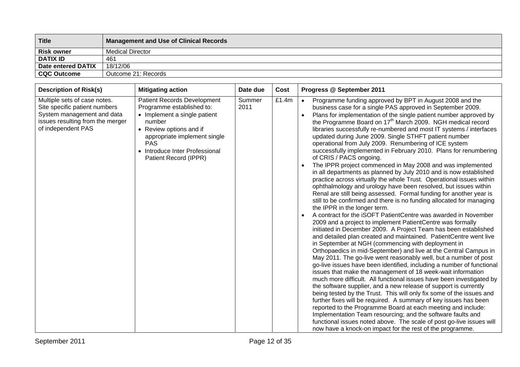| <b>Title</b>       | <b>Management and Use of Clinical Records</b> |
|--------------------|-----------------------------------------------|
| <b>Risk owner</b>  | Medical Director                              |
| <b>DATIX ID</b>    | 461                                           |
| Date entered DATIX | 18/12/06                                      |
| <b>CQC Outcome</b> | Outcome 21: Records                           |

| <b>Description of Risk(s)</b>                                                                                                                         | <b>Mitigating action</b>                                                                                                                                                                                                                      | Date due       | Cost  | Progress @ September 2011                                                                                                                                                                                                                                                                                                                                                                                                                                                                                                                                                                                                                                                                                                                                                                                                                                                                                                                                                                                                                                                                                                                                                                                                                                                                                                                                                                                                                                                                                                                                                                                                                                                                                                                                                                                                                                                                                                                                                                                                                                                                                                                                                                                                     |
|-------------------------------------------------------------------------------------------------------------------------------------------------------|-----------------------------------------------------------------------------------------------------------------------------------------------------------------------------------------------------------------------------------------------|----------------|-------|-------------------------------------------------------------------------------------------------------------------------------------------------------------------------------------------------------------------------------------------------------------------------------------------------------------------------------------------------------------------------------------------------------------------------------------------------------------------------------------------------------------------------------------------------------------------------------------------------------------------------------------------------------------------------------------------------------------------------------------------------------------------------------------------------------------------------------------------------------------------------------------------------------------------------------------------------------------------------------------------------------------------------------------------------------------------------------------------------------------------------------------------------------------------------------------------------------------------------------------------------------------------------------------------------------------------------------------------------------------------------------------------------------------------------------------------------------------------------------------------------------------------------------------------------------------------------------------------------------------------------------------------------------------------------------------------------------------------------------------------------------------------------------------------------------------------------------------------------------------------------------------------------------------------------------------------------------------------------------------------------------------------------------------------------------------------------------------------------------------------------------------------------------------------------------------------------------------------------------|
| Multiple sets of case notes.<br>Site specific patient numbers<br>System management and data<br>issues resulting from the merger<br>of independent PAS | <b>Patient Records Development</b><br>Programme established to:<br>• Implement a single patient<br>number<br>• Review options and if<br>appropriate implement single<br><b>PAS</b><br>• Introduce Inter Professional<br>Patient Record (IPPR) | Summer<br>2011 | £1.4m | Programme funding approved by BPT in August 2008 and the<br>$\bullet$<br>business case for a single PAS approved in September 2009.<br>Plans for implementation of the single patient number approved by<br>$\bullet$<br>the Programme Board on 17 <sup>th</sup> March 2009. NGH medical record<br>libraries successfully re-numbered and most IT systems / interfaces<br>updated during June 2009. Single STHFT patient number<br>operational from July 2009. Renumbering of ICE system<br>successfully implemented in February 2010. Plans for renumbering<br>of CRIS / PACS ongoing.<br>The IPPR project commenced in May 2008 and was implemented<br>in all departments as planned by July 2010 and is now established<br>practice across virtually the whole Trust. Operational issues within<br>ophthalmology and urology have been resolved, but issues within<br>Renal are still being assessed. Formal funding for another year is<br>still to be confirmed and there is no funding allocated for managing<br>the IPPR in the longer term.<br>A contract for the iSOFT PatientCentre was awarded in November<br>2009 and a project to implement PatientCentre was formally<br>initiated in December 2009. A Project Team has been established<br>and detailed plan created and maintained. PatientCentre went live<br>in September at NGH (commencing with deployment in<br>Orthopaedics in mid-September) and live at the Central Campus in<br>May 2011. The go-live went reasonably well, but a number of post<br>go-live issues have been identified, including a number of functional<br>issues that make the management of 18 week-wait information<br>much more difficult. All functional issues have been investigated by<br>the software supplier, and a new release of support is currently<br>being tested by the Trust. This will only fix some of the issues and<br>further fixes will be required. A summary of key issues has been<br>reported to the Programme Board at each meeting and include:<br>Implementation Team resourcing; and the software faults and<br>functional issues noted above. The scale of post go-live issues will<br>now have a knock-on impact for the rest of the programme. |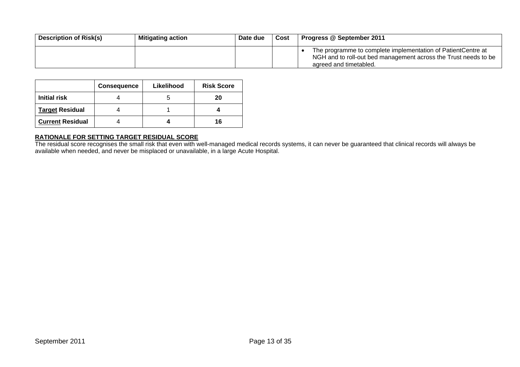| <b>Description of Risk(s)</b> | <b>Mitigating action</b> | Date due | Cost | Progress @ September 2011                                                                                                                                 |
|-------------------------------|--------------------------|----------|------|-----------------------------------------------------------------------------------------------------------------------------------------------------------|
|                               |                          |          |      | The programme to complete implementation of PatientCentre at<br>NGH and to roll-out bed management across the Trust needs to be<br>agreed and timetabled. |

|                         | <b>Consequence</b> | Likelihood | <b>Risk Score</b> |
|-------------------------|--------------------|------------|-------------------|
| Initial risk            |                    |            | 20                |
| <b>Target Residual</b>  |                    |            |                   |
| <b>Current Residual</b> |                    |            | 16                |

**RATIONALE FOR SETTING TARGET RESIDUAL SCORE**  The residual score recognises the small risk that even with well-managed medical records systems, it can never be guaranteed that clinical records will always be available when needed, and never be misplaced or unavailable, in a large Acute Hospital.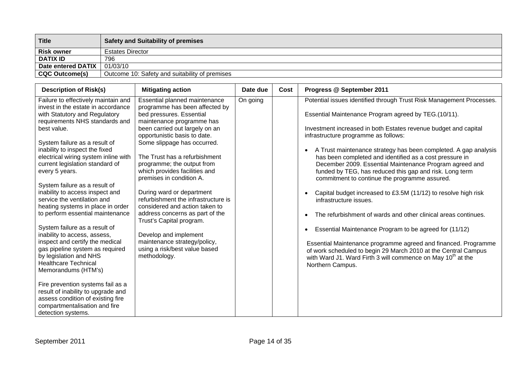| <b>Title</b>          | <b>Safety and Suitability of premises</b>      |
|-----------------------|------------------------------------------------|
| <b>Risk owner</b>     | <b>Estates Director</b>                        |
| <b>DATIX ID</b>       | 796                                            |
| Date entered DATIX    | 01/03/10                                       |
| <b>CQC Outcome(s)</b> | Outcome 10: Safety and suitability of premises |

| <b>Description of Risk(s)</b>                                                                                                                                                                                                                                                                                                                                                                                                                                                                                                                                                                                                                                                                                                                                                                                                                                                                         | <b>Mitigating action</b>                                                                                                                                                                                                                                                                                                                                                                                                                                                                                                                                                                                                             | Date due | Cost | Progress @ September 2011                                                                                                                                                                                                                                                                                                                                                                                                                                                                                                                                                                                                                                                                                                                                                                                                                                                                                                                                                                                                                                   |
|-------------------------------------------------------------------------------------------------------------------------------------------------------------------------------------------------------------------------------------------------------------------------------------------------------------------------------------------------------------------------------------------------------------------------------------------------------------------------------------------------------------------------------------------------------------------------------------------------------------------------------------------------------------------------------------------------------------------------------------------------------------------------------------------------------------------------------------------------------------------------------------------------------|--------------------------------------------------------------------------------------------------------------------------------------------------------------------------------------------------------------------------------------------------------------------------------------------------------------------------------------------------------------------------------------------------------------------------------------------------------------------------------------------------------------------------------------------------------------------------------------------------------------------------------------|----------|------|-------------------------------------------------------------------------------------------------------------------------------------------------------------------------------------------------------------------------------------------------------------------------------------------------------------------------------------------------------------------------------------------------------------------------------------------------------------------------------------------------------------------------------------------------------------------------------------------------------------------------------------------------------------------------------------------------------------------------------------------------------------------------------------------------------------------------------------------------------------------------------------------------------------------------------------------------------------------------------------------------------------------------------------------------------------|
| Failure to effectively maintain and<br>invest in the estate in accordance<br>with Statutory and Regulatory<br>requirements NHS standards and<br>best value.<br>System failure as a result of<br>inability to inspect the fixed<br>electrical wiring system inline with<br>current legislation standard of<br>every 5 years.<br>System failure as a result of<br>inability to access inspect and<br>service the ventilation and<br>heating systems in place in order<br>to perform essential maintenance<br>System failure as a result of<br>inability to access, assess,<br>inspect and certify the medical<br>gas pipeline system as required<br>by legislation and NHS<br><b>Healthcare Technical</b><br>Memorandums (HTM's)<br>Fire prevention systems fail as a<br>result of inability to upgrade and<br>assess condition of existing fire<br>compartmentalisation and fire<br>detection systems. | Essential planned maintenance<br>programme has been affected by<br>bed pressures. Essential<br>maintenance programme has<br>been carried out largely on an<br>opportunistic basis to date.<br>Some slippage has occurred.<br>The Trust has a refurbishment<br>programme; the output from<br>which provides facilities and<br>premises in condition A.<br>During ward or department<br>refurbishment the infrastructure is<br>considered and action taken to<br>address concerns as part of the<br>Trust's Capital program.<br>Develop and implement<br>maintenance strategy/policy,<br>using a risk/best value based<br>methodology. | On going |      | Potential issues identified through Trust Risk Management Processes.<br>Essential Maintenance Program agreed by TEG.(10/11).<br>Investment increased in both Estates revenue budget and capital<br>infrastructure programme as follows:<br>A Trust maintenance strategy has been completed. A gap analysis<br>$\bullet$<br>has been completed and identified as a cost pressure in<br>December 2009. Essential Maintenance Program agreed and<br>funded by TEG, has reduced this gap and risk. Long term<br>commitment to continue the programme assured.<br>Capital budget increased to £3.5M (11/12) to resolve high risk<br>$\bullet$<br>infrastructure issues.<br>The refurbishment of wards and other clinical areas continues.<br>$\bullet$<br>Essential Maintenance Program to be agreed for (11/12)<br>$\bullet$<br>Essential Maintenance programme agreed and financed. Programme<br>of work scheduled to begin 29 March 2010 at the Central Campus<br>with Ward J1. Ward Firth 3 will commence on May 10 <sup>th</sup> at the<br>Northern Campus. |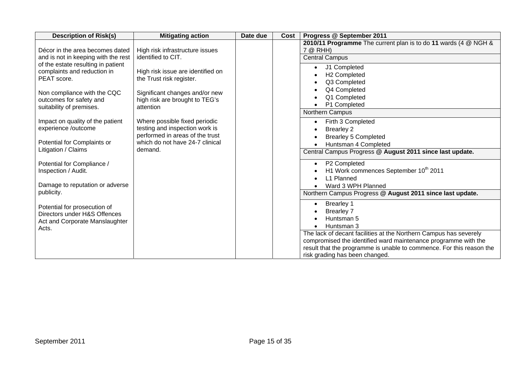| <b>Description of Risk(s)</b>                                             | <b>Mitigating action</b>                                           | Date due | Cost | Progress @ September 2011                                                       |
|---------------------------------------------------------------------------|--------------------------------------------------------------------|----------|------|---------------------------------------------------------------------------------|
|                                                                           |                                                                    |          |      | 2010/11 Programme The current plan is to do 11 wards (4 @ NGH &                 |
| Décor in the area becomes dated                                           | High risk infrastructure issues<br>identified to CIT.              |          |      | 7 @ RHH)                                                                        |
| and is not in keeping with the rest<br>of the estate resulting in patient |                                                                    |          |      | <b>Central Campus</b>                                                           |
| complaints and reduction in                                               | High risk issue are identified on                                  |          |      | J1 Completed                                                                    |
| PEAT score.                                                               | the Trust risk register.                                           |          |      | H <sub>2</sub> Completed<br>Q3 Completed                                        |
|                                                                           |                                                                    |          |      | Q4 Completed                                                                    |
| Non compliance with the CQC                                               | Significant changes and/or new                                     |          |      | Q1 Completed                                                                    |
| outcomes for safety and<br>suitability of premises.                       | high risk are brought to TEG's<br>attention                        |          |      | P1 Completed                                                                    |
|                                                                           |                                                                    |          |      | Northern Campus                                                                 |
| Impact on quality of the patient                                          | Where possible fixed periodic                                      |          |      | Firth 3 Completed<br>$\bullet$                                                  |
| experience /outcome                                                       | testing and inspection work is                                     |          |      | <b>Brearley 2</b>                                                               |
| Potential for Complaints or                                               | performed in areas of the trust<br>which do not have 24-7 clinical |          |      | <b>Brearley 5 Completed</b>                                                     |
| Litigation / Claims                                                       | demand.                                                            |          |      | Huntsman 4 Completed                                                            |
|                                                                           |                                                                    |          |      | Central Campus Progress @ August 2011 since last update.                        |
| Potential for Compliance /                                                |                                                                    |          |      | P2 Completed<br>$\bullet$                                                       |
| Inspection / Audit.                                                       |                                                                    |          |      | H1 Work commences September 10th 2011                                           |
| Damage to reputation or adverse                                           |                                                                    |          |      | L1 Planned                                                                      |
| publicity.                                                                |                                                                    |          |      | Ward 3 WPH Planned<br>Northern Campus Progress @ August 2011 since last update. |
|                                                                           |                                                                    |          |      |                                                                                 |
| Potential for prosecution of                                              |                                                                    |          |      | <b>Brearley 1</b><br>$\bullet$                                                  |
| Directors under H&S Offences                                              |                                                                    |          |      | <b>Brearley 7</b><br>Huntsman 5                                                 |
| Act and Corporate Manslaughter                                            |                                                                    |          |      | Huntsman 3                                                                      |
| Acts.                                                                     |                                                                    |          |      | The lack of decant facilities at the Northern Campus has severely               |
|                                                                           |                                                                    |          |      | compromised the identified ward maintenance programme with the                  |
|                                                                           |                                                                    |          |      | result that the programme is unable to commence. For this reason the            |
|                                                                           |                                                                    |          |      | risk grading has been changed.                                                  |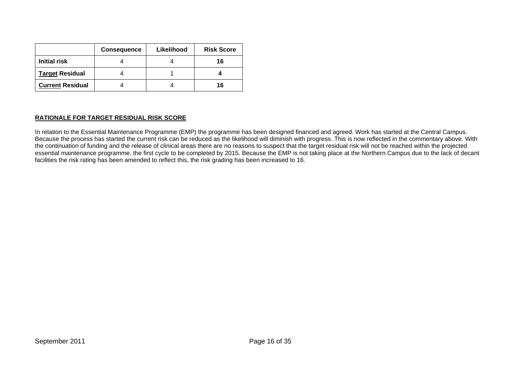|                         | <b>Consequence</b> | Likelihood | <b>Risk Score</b> |
|-------------------------|--------------------|------------|-------------------|
| <b>Initial risk</b>     |                    |            | 16                |
| <b>Target Residual</b>  |                    |            |                   |
| <b>Current Residual</b> |                    |            | 16                |

## **RATIONALE FOR TARGET RESIDUAL RISK SCORE**

In relation to the Essential Maintenance Programme (EMP) the programme has been designed financed and agreed. Work has started at the Central Campus. Because the process has started the current risk can be reduced as the likelihood will diminish with progress. This is now reflected in the commentary above. With the continuation of funding and the release of clinical areas there are no reasons to suspect that the target residual risk will not be reached within the projected essential maintenance programme, the first cycle to be completed by 2015. Because the EMP is not taking place at the Northern Campus due to the lack of decant facilities the risk rating has been amended to reflect this, the risk grading has been increased to 16.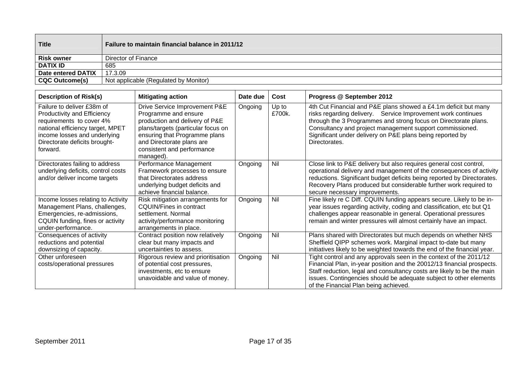| <b>Title</b>          | <b>Failure to maintain financial balance in 2011/12</b> |
|-----------------------|---------------------------------------------------------|
| <b>Risk owner</b>     | Director of Finance                                     |
| <b>DATIX ID</b>       | 685                                                     |
| Date entered DATIX    | 17.3.09                                                 |
| <b>CQC Outcome(s)</b> | Not applicable (Regulated by Monitor)                   |

| <b>Description of Risk(s)</b>                                                                                                                                                                          | <b>Mitigating action</b>                                                                                                                                                                                                               | Date due | Cost            | Progress @ September 2012                                                                                                                                                                                                                                                                                                                    |
|--------------------------------------------------------------------------------------------------------------------------------------------------------------------------------------------------------|----------------------------------------------------------------------------------------------------------------------------------------------------------------------------------------------------------------------------------------|----------|-----------------|----------------------------------------------------------------------------------------------------------------------------------------------------------------------------------------------------------------------------------------------------------------------------------------------------------------------------------------------|
| Failure to deliver £38m of<br>Productivity and Efficiency<br>requirements to cover 4%<br>national efficiency target, MPET<br>income losses and underlying<br>Directorate deficits brought-<br>forward. | Drive Service Improvement P&E<br>Programme and ensure<br>production and delivery of P&E<br>plans/targets (particular focus on<br>ensuring that Programme plans<br>and Directorate plans are<br>consistent and performance<br>managed). | Ongoing  | Up to<br>£700k. | 4th Cut Financial and P&E plans showed a £4.1m deficit but many<br>risks regarding delivery. Service Improvement work continues<br>through the 3 Programmes and strong focus on Directorate plans.<br>Consultancy and project management support commissioned.<br>Significant under delivery on P&E plans being reported by<br>Directorates. |
| Directorates failing to address<br>underlying deficits, control costs<br>and/or deliver income targets                                                                                                 | Performance Management<br>Framework processes to ensure<br>that Directorates address<br>underlying budget deficits and<br>achieve financial balance.                                                                                   | Ongoing  | Nil             | Close link to P&E delivery but also requires general cost control,<br>operational delivery and management of the consequences of activity<br>reductions. Significant budget deficits being reported by Directorates.<br>Recovery Plans produced but considerable further work required to<br>secure necessary improvements.                  |
| Income losses relating to Activity<br>Management Plans, challenges,<br>Emergencies, re-admissions,<br>CQUIN funding, fines or activity<br>under-performance.                                           | Risk mitigation arrangements for<br><b>CQUIN/Fines in contract</b><br>settlement. Normal<br>activity/performance monitoring<br>arrangements in place.                                                                                  | Ongoing  | Nil             | Fine likely re C Diff. CQUIN funding appears secure. Likely to be in-<br>year issues regarding activity, coding and classification, etc but Q1<br>challenges appear reasonable in general. Operational pressures<br>remain and winter pressures will almost certainly have an impact.                                                        |
| Consequences of activity<br>reductions and potential<br>downsizing of capacity.                                                                                                                        | Contract position now relatively<br>clear but many impacts and<br>uncertainties to assess.                                                                                                                                             | Ongoing  | Nil             | Plans shared with Directorates but much depends on whether NHS<br>Sheffield QIPP schemes work. Marginal impact to-date but many<br>initiatives likely to be weighted towards the end of the financial year.                                                                                                                                  |
| Other unforeseen<br>costs/operational pressures                                                                                                                                                        | Rigorous review and prioritisation<br>of potential cost pressures,<br>investments, etc to ensure<br>unavoidable and value of money.                                                                                                    | Ongoing  | Nil             | Tight control and any approvals seen in the context of the 2011/12<br>Financial Plan, in-year position and the 20012/13 financial prospects.<br>Staff reduction, legal and consultancy costs are likely to be the main<br>issues. Contingencies should be adequate subject to other elements<br>of the Financial Plan being achieved.        |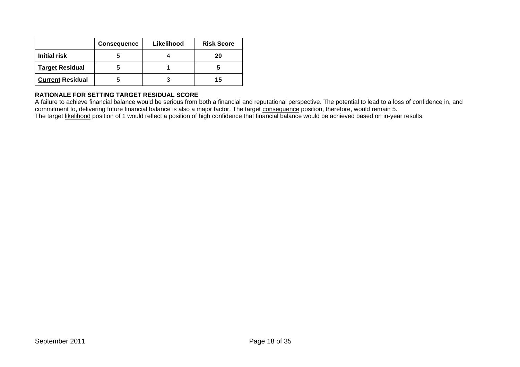|                         | <b>Consequence</b> | Likelihood | <b>Risk Score</b> |
|-------------------------|--------------------|------------|-------------------|
| <b>Initial risk</b>     |                    |            | 20                |
| <b>Target Residual</b>  |                    |            |                   |
| <b>Current Residual</b> |                    |            | 15                |

A failure to achieve financial balance would be serious from both a financial and reputational perspective. The potential to lead to a loss of confidence in, and commitment to, delivering future financial balance is also a major factor. The target <u>consequence</u> position, therefore, would remain 5. The target <u>likelihood</u> position of 1 would reflect a position of high confidence that financial balance would be achieved based on in-year results.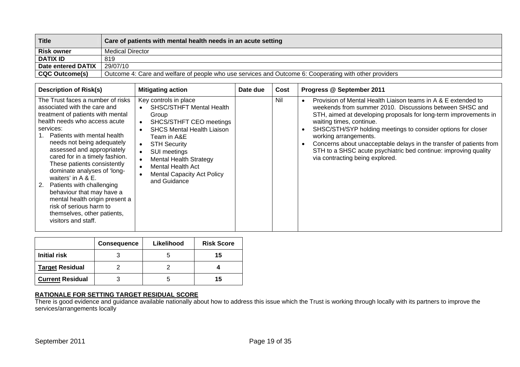| <b>Title</b>          | Care of patients with mental health needs in an acute setting                                          |
|-----------------------|--------------------------------------------------------------------------------------------------------|
| <b>Risk owner</b>     | <b>Medical Director</b>                                                                                |
| <b>DATIX ID</b>       | 819                                                                                                    |
| Date entered DATIX    | 29/07/10                                                                                               |
| <b>CQC Outcome(s)</b> | Outcome 4: Care and welfare of people who use services and Outcome 6: Cooperating with other providers |

| <b>Description of Risk(s)</b>                                                                                                                                                                                                                                                                                                                                                                                                                                                                                                                                       | <b>Mitigating action</b>                                                                                                                                                                                                                                                                                                                  | Date due | Cost | Progress @ September 2011                                                                                                                                                                                                                                                                                                                                                                                                                                                                      |
|---------------------------------------------------------------------------------------------------------------------------------------------------------------------------------------------------------------------------------------------------------------------------------------------------------------------------------------------------------------------------------------------------------------------------------------------------------------------------------------------------------------------------------------------------------------------|-------------------------------------------------------------------------------------------------------------------------------------------------------------------------------------------------------------------------------------------------------------------------------------------------------------------------------------------|----------|------|------------------------------------------------------------------------------------------------------------------------------------------------------------------------------------------------------------------------------------------------------------------------------------------------------------------------------------------------------------------------------------------------------------------------------------------------------------------------------------------------|
| The Trust faces a number of risks<br>associated with the care and<br>treatment of patients with mental<br>health needs who access acute<br>services:<br>Patients with mental health<br>needs not being adequately<br>assessed and appropriately<br>cared for in a timely fashion.<br>These patients consistently<br>dominate analyses of 'long-<br>waiters' in A & E.<br>Patients with challenging<br><sup>2.</sup><br>behaviour that may have a<br>mental health origin present a<br>risk of serious harm to<br>themselves, other patients,<br>visitors and staff. | Key controls in place<br><b>SHSC/STHFT Mental Health</b><br>$\bullet$<br>Group<br>SHCS/STHFT CEO meetings<br><b>SHCS Mental Health Liaison</b><br>Team in A&E<br><b>STH Security</b><br>$\bullet$<br>SUI meetings<br>$\bullet$<br><b>Mental Health Strategy</b><br>Mental Health Act<br><b>Mental Capacity Act Policy</b><br>and Guidance |          | Nil  | Provision of Mental Health Liaison teams in A & E extended to<br>weekends from summer 2010. Discussions between SHSC and<br>STH, aimed at developing proposals for long-term improvements in<br>waiting times, continue.<br>SHSC/STH/SYP holding meetings to consider options for closer<br>working arrangements.<br>Concerns about unacceptable delays in the transfer of patients from<br>STH to a SHSC acute psychiatric bed continue: improving quality<br>via contracting being explored. |

|                         | <b>Consequence</b> | Likelihood | <b>Risk Score</b> |
|-------------------------|--------------------|------------|-------------------|
| <b>Initial risk</b>     |                    |            | 15                |
| <b>Target Residual</b>  |                    |            |                   |
| <b>Current Residual</b> |                    |            | 15                |

**RATIONALE FOR SETTING TARGET RESIDUAL SCORE**  There is good evidence and guidance available nationally about how to address this issue which the Trust is working through locally with its partners to improve the services/arrangements locally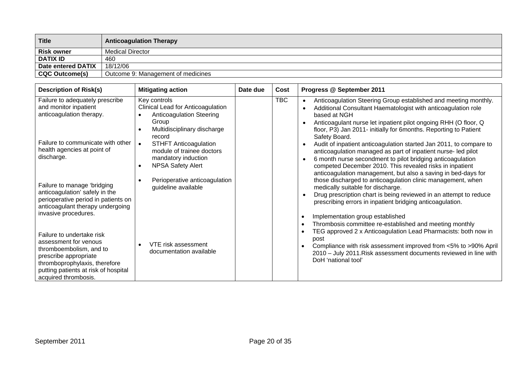| <b>Title</b>          | <b>Anticoagulation Therapy</b>     |
|-----------------------|------------------------------------|
| <b>Risk owner</b>     | <b>Medical Director</b>            |
| <b>DATIX ID</b>       | 460                                |
| Date entered DATIX    | 18/12/06                           |
| <b>CQC Outcome(s)</b> | Outcome 9: Management of medicines |

| <b>Description of Risk(s)</b>                                                                                                                                                                           | <b>Mitigating action</b>                                                                                                                                                                                                                                            | Date due | Cost       | Progress @ September 2011                                                                                                                                                                                                                                                                                                                                                                                                                                                                                                                                                                                                                  |
|---------------------------------------------------------------------------------------------------------------------------------------------------------------------------------------------------------|---------------------------------------------------------------------------------------------------------------------------------------------------------------------------------------------------------------------------------------------------------------------|----------|------------|--------------------------------------------------------------------------------------------------------------------------------------------------------------------------------------------------------------------------------------------------------------------------------------------------------------------------------------------------------------------------------------------------------------------------------------------------------------------------------------------------------------------------------------------------------------------------------------------------------------------------------------------|
| Failure to adequately prescribe<br>and monitor inpatient<br>anticoagulation therapy.<br>Failure to communicate with other<br>health agencies at point of<br>discharge.                                  | Key controls<br>Clinical Lead for Anticoagulation<br><b>Anticoagulation Steering</b><br>Group<br>Multidisciplinary discharge<br>record<br><b>STHFT Anticoagulation</b><br>$\bullet$<br>module of trainee doctors<br>mandatory induction<br><b>NPSA Safety Alert</b> |          | <b>TBC</b> | Anticoagulation Steering Group established and meeting monthly.<br>Additional Consultant Haematologist with anticoagulation role<br>based at NGH<br>Anticoagulant nurse let inpatient pilot ongoing RHH (O floor, Q<br>floor, P3) Jan 2011- initially for 6months. Reporting to Patient<br>Safety Board.<br>Audit of inpatient anticoagulation started Jan 2011, to compare to<br>anticoagulation managed as part of inpatient nurse- led pilot<br>6 month nurse secondment to pilot bridging anticoagulation<br>competed December 2010. This revealed risks in inpatient<br>anticoagulation management, but also a saving in bed-days for |
| Failure to manage 'bridging<br>anticoagulation' safely in the<br>perioperative period in patients on<br>anticoagulant therapy undergoing<br>invasive procedures.                                        | Perioperative anticoagulation<br>guideline available                                                                                                                                                                                                                |          |            | those discharged to anticoagulation clinic management, when<br>medically suitable for discharge.<br>Drug prescription chart is being reviewed in an attempt to reduce<br>prescribing errors in inpatient bridging anticoagulation.<br>Implementation group established                                                                                                                                                                                                                                                                                                                                                                     |
| Failure to undertake risk<br>assessment for venous<br>thromboembolism, and to<br>prescribe appropriate<br>thromboprophylaxis, therefore<br>putting patients at risk of hospital<br>acquired thrombosis. | VTE risk assessment<br>documentation available                                                                                                                                                                                                                      |          |            | Thrombosis committee re-established and meeting monthly<br>TEG approved 2 x Anticoagulation Lead Pharmacists: both now in<br>post<br>Compliance with risk assessment improved from <5% to >90% April<br>2010 - July 2011. Risk assessment documents reviewed in line with<br>DoH 'national tool'                                                                                                                                                                                                                                                                                                                                           |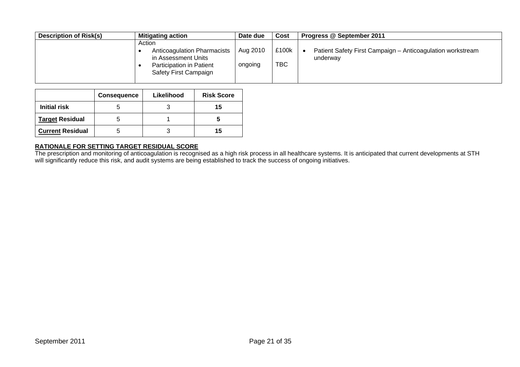| <b>Description of Risk(s)</b> | <b>Mitigating action</b>                                                                                                 | Date due            | Cost         | Progress @ September 2011                                              |
|-------------------------------|--------------------------------------------------------------------------------------------------------------------------|---------------------|--------------|------------------------------------------------------------------------|
|                               | Action<br><b>Anticoagulation Pharmacists</b><br>in Assessment Units<br>Participation in Patient<br>Safety First Campaign | Aug 2010<br>ongoing | £100k<br>TBC | Patient Safety First Campaign - Anticoagulation workstream<br>underway |

|                         | <b>Consequence</b> | Likelihood | <b>Risk Score</b> |
|-------------------------|--------------------|------------|-------------------|
| <b>Initial risk</b>     |                    |            | 15                |
| <b>Target Residual</b>  |                    |            |                   |
| <b>Current Residual</b> |                    |            | 15                |

The prescription and monitoring of anticoagulation is recognised as a high risk process in all healthcare systems. It is anticipated that current developments at STH will significantly reduce this risk, and audit systems are being established to track the success of ongoing initiatives.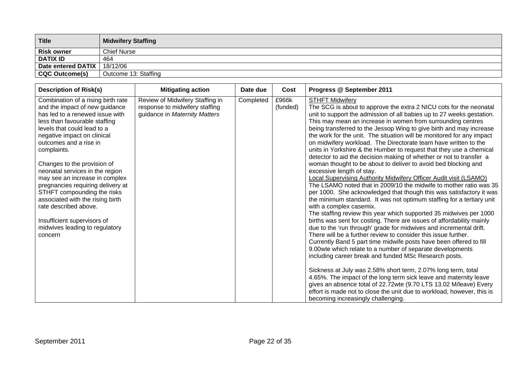| <b>Title</b>              | <b>Midwifery Staffing</b> |
|---------------------------|---------------------------|
| <b>Risk owner</b>         | <b>Chief Nurse</b>        |
| <b>DATIX ID</b>           | 464                       |
| <b>Date entered DATIX</b> | 18/12/06                  |
| <b>CQC Outcome(s)</b>     | Outcome 13: Staffing      |

| <b>Description of Risk(s)</b>                                                                                                                                                                                                                                                                                                                                                                                                                                                                                                                                    | <b>Mitigating action</b>                                                                           | Date due  | Cost              | Progress @ September 2011                                                                                                                                                                                                                                                                                                                                                                                                                                                                                                                                                                                                                                                                                                                                                                                                                                                                                                                                                                                                                                                                                                                                                                                                                                                                                                                                                                                                                                                                                                                                                                                                                                                                                                                                                                                                                       |
|------------------------------------------------------------------------------------------------------------------------------------------------------------------------------------------------------------------------------------------------------------------------------------------------------------------------------------------------------------------------------------------------------------------------------------------------------------------------------------------------------------------------------------------------------------------|----------------------------------------------------------------------------------------------------|-----------|-------------------|-------------------------------------------------------------------------------------------------------------------------------------------------------------------------------------------------------------------------------------------------------------------------------------------------------------------------------------------------------------------------------------------------------------------------------------------------------------------------------------------------------------------------------------------------------------------------------------------------------------------------------------------------------------------------------------------------------------------------------------------------------------------------------------------------------------------------------------------------------------------------------------------------------------------------------------------------------------------------------------------------------------------------------------------------------------------------------------------------------------------------------------------------------------------------------------------------------------------------------------------------------------------------------------------------------------------------------------------------------------------------------------------------------------------------------------------------------------------------------------------------------------------------------------------------------------------------------------------------------------------------------------------------------------------------------------------------------------------------------------------------------------------------------------------------------------------------------------------------|
| Combination of a rising birth rate<br>and the impact of new guidance<br>has led to a renewed issue with<br>less than favourable staffing<br>levels that could lead to a<br>negative impact on clinical<br>outcomes and a rise in<br>complaints.<br>Changes to the provision of<br>neonatal services in the region<br>may see an increase in complex<br>pregnancies requiring delivery at<br>STHFT compounding the risks<br>associated with the rising birth<br>rate described above.<br>Insufficient supervisors of<br>midwives leading to regulatory<br>concern | Review of Midwifery Staffing in<br>response to midwifery staffing<br>guidance in Maternity Matters | Completed | £966k<br>(funded) | <b>STHFT Midwifery</b><br>The SCG is about to approve the extra 2 NICU cots for the neonatal<br>unit to support the admission of all babies up to 27 weeks gestation.<br>This may mean an increase in women from surrounding centres<br>being transferred to the Jessop Wing to give birth and may increase<br>the work for the unit. The situation will be monitored for any impact<br>on midwifery workload. The Directorate team have written to the<br>units in Yorkshire & the Humber to request that they use a chemical<br>detector to aid the decision making of whether or not to transfer a<br>woman thought to be about to deliver to avoid bed blocking and<br>excessive length of stay.<br><b>Local Supervising Authority Midwifery Officer Audit visit (LSAMO)</b><br>The LSAMO noted that in 2009/10 the midwife to mother ratio was 35<br>per 1000. She acknowledged that though this was satisfactory it was<br>the minimum standard. It was not optimum staffing for a tertiary unit<br>with a complex casemix.<br>The staffing review this year which supported 35 midwives per 1000<br>births was sent for costing. There are issues of affordability mainly<br>due to the 'run through' grade for midwives and incremental drift.<br>There will be a further review to consider this issue further.<br>Currently Band 5 part time midwife posts have been offered to fill<br>9.00wte which relate to a number of separate developments<br>including career break and funded MSc Research posts.<br>Sickness at July was 2.58% short term, 2.07% long term, total<br>4.65%. The impact of the long term sick leave and maternity leave<br>gives an absence total of 22.72wte (9.70 LTS 13.02 M/leave) Every<br>effort is made not to close the unit due to workload, however, this is<br>becoming increasingly challenging. |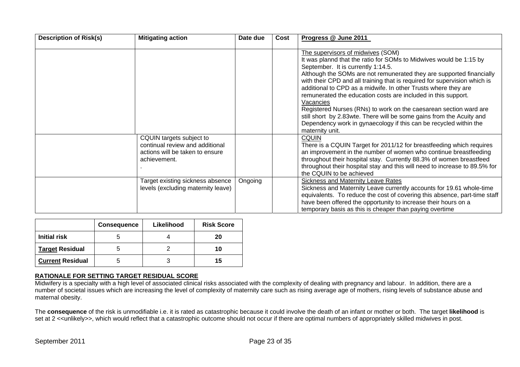| <b>Description of Risk(s)</b> | <b>Mitigating action</b>                                                                                       | Date due | Cost | Progress @ June 2011                                                                                                                                                                                                                                                                                                                                                                                                                                                                                                                                                                                                                                                                    |
|-------------------------------|----------------------------------------------------------------------------------------------------------------|----------|------|-----------------------------------------------------------------------------------------------------------------------------------------------------------------------------------------------------------------------------------------------------------------------------------------------------------------------------------------------------------------------------------------------------------------------------------------------------------------------------------------------------------------------------------------------------------------------------------------------------------------------------------------------------------------------------------------|
|                               |                                                                                                                |          |      | The supervisors of midwives (SOM)<br>It was plannd that the ratio for SOMs to Midwives would be 1:15 by<br>September. It is currently 1:14.5.<br>Although the SOMs are not remunerated they are supported financially<br>with their CPD and all training that is required for supervision which is<br>additional to CPD as a midwife. In other Trusts where they are<br>remunerated the education costs are included in this support.<br>Vacancies<br>Registered Nurses (RNs) to work on the caesarean section ward are<br>still short by 2.83wte. There will be some gains from the Acuity and<br>Dependency work in gynaecology if this can be recycled within the<br>maternity unit. |
|                               | CQUIN targets subject to<br>continual review and additional<br>actions will be taken to ensure<br>achievement. |          |      | CQUIN<br>There is a CQUIN Target for 2011/12 for breastfeeding which requires<br>an improvement in the number of women who continue breastfeeding<br>throughout their hospital stay. Currently 88.3% of women breastfeed<br>throughout their hospital stay and this will need to increase to 89.5% for<br>the CQUIN to be achieved                                                                                                                                                                                                                                                                                                                                                      |
|                               | Target existing sickness absence<br>levels (excluding maternity leave)                                         | Ongoing  |      | Sickness and Maternity Leave Rates<br>Sickness and Maternity Leave currently accounts for 19.61 whole-time<br>equivalents. To reduce the cost of covering this absence, part-time staff<br>have been offered the opportunity to increase their hours on a<br>temporary basis as this is cheaper than paying overtime                                                                                                                                                                                                                                                                                                                                                                    |

|                         | <b>Consequence</b> | Likelihood | <b>Risk Score</b> |
|-------------------------|--------------------|------------|-------------------|
| <b>Initial risk</b>     |                    |            | 20                |
| <b>Target Residual</b>  |                    |            | 10                |
| <b>Current Residual</b> |                    |            | 15                |

Midwifery is a specialty with a high level of associated clinical risks associated with the complexity of dealing with pregnancy and labour. In addition, there are a number of societal issues which are increasing the level of complexity of maternity care such as rising average age of mothers, rising levels of substance abuse and maternal obesity.

The **consequence** of the risk is unmodifiable i.e. it is rated as catastrophic because it could involve the death of an infant or mother or both. The target **likelihood** is set at 2 <<unlikely>>, which would reflect that a catastrophic outcome should not occur if there are optimal numbers of appropriately skilled midwives in post.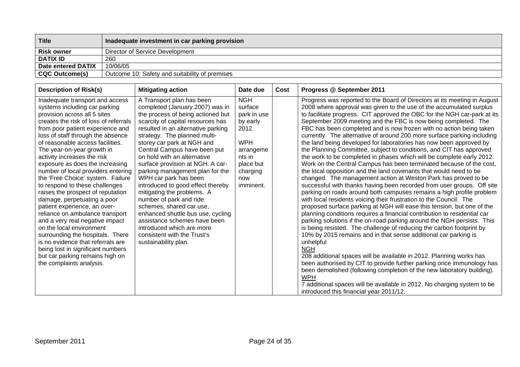| <b>Title</b>          | Inadequate investment in car parking provision |
|-----------------------|------------------------------------------------|
| <b>Risk owner</b>     | Director of Service Development                |
| <b>DATIX ID</b>       | 260                                            |
| Date entered DATIX    | 10/06/05                                       |
| <b>CQC Outcome(s)</b> | Outcome 10: Safety and suitability of premises |

| <b>Description of Risk(s)</b>                                                                                                                                                                                                                                                                                                                                                                                                                                                                                                                                                                                                                                                                                                                                                                                                                          | <b>Mitigating action</b>                                                                                                                                                                                                                                                                                                                                                                                                                                                                                                                                                                                                                                                                     | Date due                                                                                                                                    | Cost | Progress @ September 2011                                                                                                                                                                                                                                                                                                                                                                                                                                                                                                                                                                                                                                                                                                                                                                                                                                                                                                                                                                                                                                                                                                                                                                                                                                                                                                                                                                                                                                                                                                                                                                                                                                                                                                                                                                                                                                                       |
|--------------------------------------------------------------------------------------------------------------------------------------------------------------------------------------------------------------------------------------------------------------------------------------------------------------------------------------------------------------------------------------------------------------------------------------------------------------------------------------------------------------------------------------------------------------------------------------------------------------------------------------------------------------------------------------------------------------------------------------------------------------------------------------------------------------------------------------------------------|----------------------------------------------------------------------------------------------------------------------------------------------------------------------------------------------------------------------------------------------------------------------------------------------------------------------------------------------------------------------------------------------------------------------------------------------------------------------------------------------------------------------------------------------------------------------------------------------------------------------------------------------------------------------------------------------|---------------------------------------------------------------------------------------------------------------------------------------------|------|---------------------------------------------------------------------------------------------------------------------------------------------------------------------------------------------------------------------------------------------------------------------------------------------------------------------------------------------------------------------------------------------------------------------------------------------------------------------------------------------------------------------------------------------------------------------------------------------------------------------------------------------------------------------------------------------------------------------------------------------------------------------------------------------------------------------------------------------------------------------------------------------------------------------------------------------------------------------------------------------------------------------------------------------------------------------------------------------------------------------------------------------------------------------------------------------------------------------------------------------------------------------------------------------------------------------------------------------------------------------------------------------------------------------------------------------------------------------------------------------------------------------------------------------------------------------------------------------------------------------------------------------------------------------------------------------------------------------------------------------------------------------------------------------------------------------------------------------------------------------------------|
| Inadequate transport and access<br>systems including car parking<br>provision across all 5 sites<br>creates the risk of loss of referrals<br>from poor patient experience and<br>loss of staff through the absence<br>of reasonable access facilities.<br>The year-on-year growth in<br>activity increases the risk<br>exposure as does the increasing<br>number of local providers entering<br>the 'Free Choice' system. Failure<br>to respond to these challenges<br>raises the prospect of reputation<br>damage, perpetuating a poor<br>patient experience, an over-<br>reliance on ambulance transport<br>and a very real negative impact<br>on the local environment<br>surrounding the hospitals. There<br>is no evidence that referrals are<br>being lost in significant numbers<br>but car parking remains high on<br>the complaints analysis. | A Transport plan has been<br>completed (January 2007) was in<br>the process of being actioned but<br>scarcity of capital resources has<br>resulted in an alternative parking<br>strategy. The planned multi-<br>storey car park at NGH and<br>Central Campus have been put<br>on hold with an alternative<br>surface provision at NGH. A car-<br>parking management plan for the<br>WPH car park has been<br>introduced to good effect thereby<br>mitigating the problems. A<br>number of park and ride<br>schemes, shared car use,<br>enhanced shuttle bus use, cycling<br>assistance schemes have been<br>introduced which are more<br>consistent with the Trust's<br>sustainability plan. | <b>NGH</b><br>surface<br>park in use<br>by early<br>2012.<br><b>WPH</b><br>arrangeme<br>nts in<br>place but<br>charging<br>now<br>imminent. |      | Progress was reported to the Board of Directors at its meeting in August<br>2008 where approval was given to the use of the accumulated surplus<br>to facilitate progress. CIT approved the OBC for the NGH car-park at its<br>September 2009 meeting and the FBC is now being completed. The<br>FBC has been completed and is now frozen with no action being taken<br>currently. The alternative of around 200 more surface parking including<br>the land being developed for laboratories has now been approved by<br>the Planning Committee, subject to conditions, and CIT has approved<br>the work to be completed in phases which will be complete early 2012.<br>Work on the Central Campus has been terminated because of the cost,<br>the local opposition and the land covenants that would need to be<br>changed. The management action at Weston Park has proved to be<br>successful with thanks having been recorded from user groups. Off site<br>parking on roads around both campuses remains a high profile problem<br>with local residents voicing their frustration to the Council. The<br>proposed surface parking at NGH will ease this tension, but one of the<br>planning conditions requires a financial contribution to residential car<br>parking solutions if the on-road parking around the NGH persists. This<br>is being resisted. The challenge of reducing the carbon footprint by<br>10% by 2015 remains and in that sense additional car parking is<br>unhelpful<br><b>NGH</b><br>208 additional spaces will be available in 2012. Planning works has<br>been authorised by CIT to provide further parking once immunology has<br>been demolished (following completion of the new laboratory building).<br><b>WPH</b><br>7 additional spaces will be available in 2012. No charging system to be<br>introduced this financial year 2011/12. |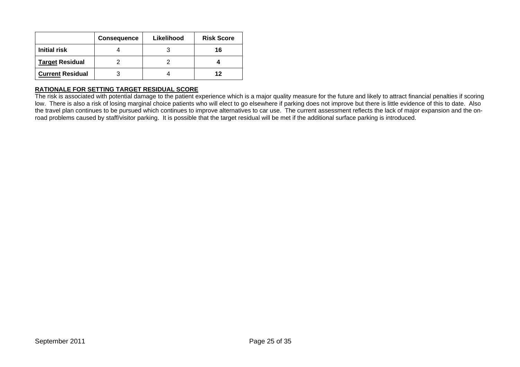|                         | <b>Consequence</b> | Likelihood | <b>Risk Score</b> |
|-------------------------|--------------------|------------|-------------------|
| <b>Initial risk</b>     |                    |            | 16                |
| <b>Target Residual</b>  |                    |            |                   |
| <b>Current Residual</b> |                    |            | 12                |

The risk is associated with potential damage to the patient experience which is a major quality measure for the future and likely to attract financial penalties if scoring low. There is also a risk of losing marginal choice patients who will elect to go elsewhere if parking does not improve but there is little evidence of this to date. Also the travel plan continues to be pursued which continues to improve alternatives to car use. The current assessment reflects the lack of major expansion and the onroad problems caused by staff/visitor parking. It is possible that the target residual will be met if the additional surface parking is introduced.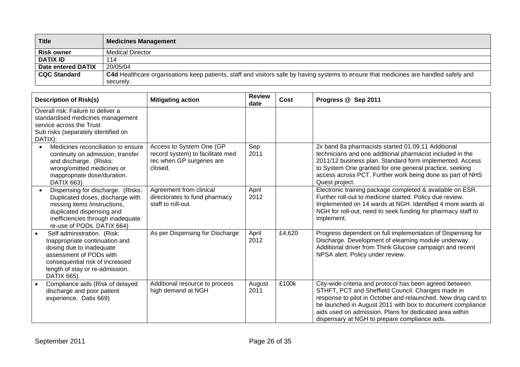| <b>Title</b>        | <b>Medicines Management</b>                                                                                                           |
|---------------------|---------------------------------------------------------------------------------------------------------------------------------------|
| <b>Risk owner</b>   | <b>Medical Director</b>                                                                                                               |
| <b>DATIX ID</b>     | 114                                                                                                                                   |
| Date entered DATIX  | 20/05/04                                                                                                                              |
| <b>CQC Standard</b> | C4d Healthcare organisations keep patients, staff and visitors safe by having systems to ensure that medicines are handled safely and |
|                     | securely.                                                                                                                             |

| <b>Description of Risk(s)</b>                                                                                                                                                                                   | <b>Mitigating action</b>                                                                             | <b>Review</b><br>date | <b>Cost</b> | Progress @ Sep 2011                                                                                                                                                                                                                                                                                                                                     |
|-----------------------------------------------------------------------------------------------------------------------------------------------------------------------------------------------------------------|------------------------------------------------------------------------------------------------------|-----------------------|-------------|---------------------------------------------------------------------------------------------------------------------------------------------------------------------------------------------------------------------------------------------------------------------------------------------------------------------------------------------------------|
| Overall risk: Failure to deliver a<br>standardised medicines management<br>service across the Trust<br>Sub risks (separately identified on<br>DATIX):                                                           |                                                                                                      |                       |             |                                                                                                                                                                                                                                                                                                                                                         |
| Medicines reconciliation to ensure<br>$\bullet$<br>continuity on admission, transfer<br>and discharge. (Risks:<br>wrong/omitted medicines or<br>inappropriate dose/duration.<br>DATIX 663)                      | Access to System One (GP<br>record system) to facilitate med<br>rec when GP surgeries are<br>closed. | Sep<br>2011           |             | 2x band 8a pharmacists started 01.09.11 Additional<br>technicians and one additional pharmacist included in the<br>2011/12 business plan. Standard form implemented. Access<br>to System One granted for one general practice, seeking<br>access across PCT. Further work being done as part of NHS<br>Quest project.                                   |
| Dispensing for discharge. (Risks:<br>Duplicated doses, discharge with<br>missing items /instructions,<br>duplicated dispensing and<br>inefficiencies through inadequate<br>re-use of PODs. DATIX 664)           | Agreement from clinical<br>directorates to fund pharmacy<br>staff to roll-out.                       | April<br>2012         |             | Electronic training package completed & available on ESR.<br>Further roll-out to medicine started. Policy due review.<br>Implemented on 14 wards at NGH. Identified 4 more wards at<br>NGH for roll-out, need to seek funding for pharmacy staff to<br>implement.                                                                                       |
| Self administration. (Risk:<br>Inappropriate continuation and<br>dosing due to inadequate<br>assessment of PODs with<br>consequential risk of increased<br>length of stay or re-admission.<br><b>DATIX 665)</b> | As per Dispensing for Discharge                                                                      | April<br>2012         | £4,620      | Progress dependent on full implementation of Dispensing for<br>Discharge. Development of elearning module underway. .<br>Additional driver from Think Glucose campaign and recent<br>NPSA alert. Policy under review.                                                                                                                                   |
| Compliance aids (Risk of delayed<br>discharge and poor patient<br>experience. Datix 669)                                                                                                                        | Additional resource to process<br>high demand at NGH                                                 | August<br>2011        | £100k       | City-wide criteria and protocol has been agreed between<br>STHFT, PCT and Sheffield Council. Changes made in<br>response to pilot in October and relaunched. New drug card to<br>be launched in August 2011 with box to document compliance<br>aids used on admission. Plans for dedicated area within<br>dispensary at NGH to prepare compliance aids. |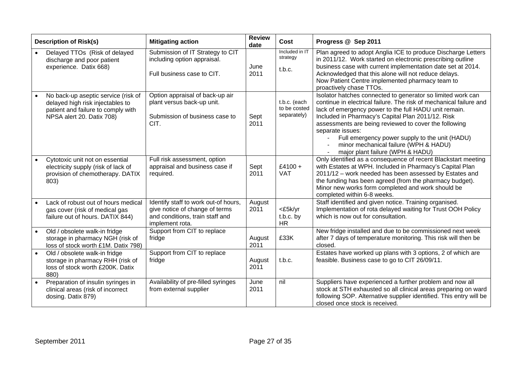| <b>Description of Risk(s)</b>                                                                                                              | <b>Mitigating action</b>                                                                                                     | <b>Review</b><br>date | Cost                                        | Progress @ Sep 2011                                                                                                                                                                                                                                                                                                                                                                                                                                         |
|--------------------------------------------------------------------------------------------------------------------------------------------|------------------------------------------------------------------------------------------------------------------------------|-----------------------|---------------------------------------------|-------------------------------------------------------------------------------------------------------------------------------------------------------------------------------------------------------------------------------------------------------------------------------------------------------------------------------------------------------------------------------------------------------------------------------------------------------------|
| Delayed TTOs (Risk of delayed<br>discharge and poor patient<br>experience. Datix 668)                                                      | Submission of IT Strategy to CIT<br>including option appraisal.<br>Full business case to CIT.                                | June<br>2011          | Included in IT<br>strategy<br>t.b.c.        | Plan agreed to adopt Anglia ICE to produce Discharge Letters<br>in 2011/12. Work started on electronic prescribing outline<br>business case with current implementation date set at 2014.<br>Acknowledged that this alone will not reduce delays.<br>Now Patient Centre implemented pharmacy team to<br>proactively chase TTOs.                                                                                                                             |
| No back-up aseptic service (risk of<br>delayed high risk injectables to<br>patient and failure to comply with<br>NPSA alert 20. Datix 708) | Option appraisal of back-up air<br>plant versus back-up unit.<br>Submission of business case to<br>CIT.                      | Sept<br>2011          | t.b.c. (each<br>to be costed<br>separately) | Isolator hatches connected to generator so limited work can<br>continue in electrical failure. The risk of mechanical failure and<br>lack of emergency power to the full HADU unit remain.<br>Included in Pharmacy's Capital Plan 2011/12. Risk<br>assessments are being reviewed to cover the following<br>separate issues:<br>Full emergency power supply to the unit (HADU)<br>minor mechanical failure (WPH & HADU)<br>major plant failure (WPH & HADU) |
| Cytotoxic unit not on essential<br>electricity supply (risk of lack of<br>provision of chemotherapy. DATIX<br>803)                         | Full risk assessment, option<br>appraisal and business case if<br>required.                                                  | Sept<br>2011          | $£4100 +$<br><b>VAT</b>                     | Only identified as a consequence of recent Blackstart meeting<br>with Estates at WPH. Included in Pharmacy's Capital Plan<br>2011/12 - work needed has been assessed by Estates and<br>the funding has been agreed (from the pharmacy budget).<br>Minor new works form completed and work should be<br>completed within 6-8 weeks.                                                                                                                          |
| Lack of robust out of hours medical<br>gas cover (risk of medical gas<br>failure out of hours. DATIX 844)                                  | Identify staff to work out-of hours,<br>give notice of change of terms<br>and conditions, train staff and<br>implement rota. | August<br>2011        | <£5k/yr<br>t.b.c. by<br><b>HR</b>           | Staff identified and given notice. Training organised.<br>Implementation of rota delayed waiting for Trust OOH Policy<br>which is now out for consultation.                                                                                                                                                                                                                                                                                                 |
| Old / obsolete walk-in fridge<br>storage in pharmacy NGH (risk of<br>loss of stock worth £1M. Datix 798)                                   | Support from CIT to replace<br>fridge                                                                                        | August<br>2011        | £33K                                        | New fridge installed and due to be commissioned next week<br>after 7 days of temperature monitoring. This risk will then be<br>closed.                                                                                                                                                                                                                                                                                                                      |
| Old / obsolete walk-in fridge<br>storage in pharmacy RHH (risk of<br>loss of stock worth £200K. Datix<br>880)                              | Support from CIT to replace<br>fridge                                                                                        | August<br>2011        | t.b.c.                                      | Estates have worked up plans with 3 options, 2 of which are<br>feasible. Business case to go to CIT 26/09/11.                                                                                                                                                                                                                                                                                                                                               |
| Preparation of insulin syringes in<br>clinical areas (risk of incorrect<br>dosing. Datix 879)                                              | Availability of pre-filled syringes<br>from external supplier                                                                | June<br>2011          | nil                                         | Suppliers have experienced a further problem and now all<br>stock at STH exhausted so all clinical areas preparing on ward<br>following SOP. Alternative supplier identified. This entry will be<br>closed once stock is received.                                                                                                                                                                                                                          |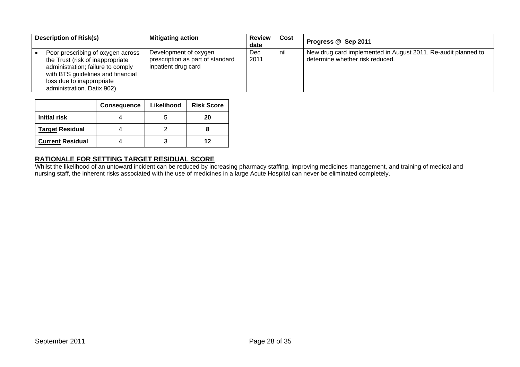| <b>Description of Risk(s)</b>                                                                                                                                                                              | <b>Mitigating action</b>                                                         | <b>Review</b><br>date | Cost | Progress @ Sep 2011                                                                              |
|------------------------------------------------------------------------------------------------------------------------------------------------------------------------------------------------------------|----------------------------------------------------------------------------------|-----------------------|------|--------------------------------------------------------------------------------------------------|
| Poor prescribing of oxygen across<br>the Trust (risk of inappropriate<br>administration; failure to comply<br>with BTS guidelines and financial<br>loss due to inappropriate<br>administration. Datix 902) | Development of oxygen<br>prescription as part of standard<br>inpatient drug card | <b>Dec</b><br>2011    | nil  | New drug card implemented in August 2011. Re-audit planned to<br>determine whether risk reduced. |

|                         | <b>Consequence</b> | Likelihood | <b>Risk Score</b> |
|-------------------------|--------------------|------------|-------------------|
| Initial risk            |                    |            | 20                |
| Target Residual         |                    |            |                   |
| <b>Current Residual</b> |                    |            | 12                |

**RATIONALE FOR SETTING TARGET RESIDUAL SCORE**  Whilst the likelihood of an untoward incident can be reduced by increasing pharmacy staffing, improving medicines management, and training of medical and nursing staff, the inherent risks associated with the use of medicines in a large Acute Hospital can never be eliminated completely.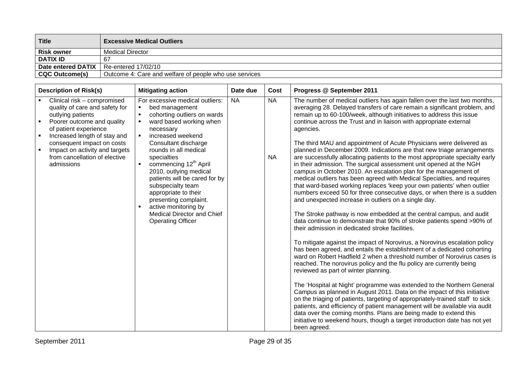| <b>Title</b>          | <b>Excessive Medical Outliers</b>                      |
|-----------------------|--------------------------------------------------------|
| <b>Risk owner</b>     | <b>Medical Director</b>                                |
| <b>DATIX ID</b>       | -67                                                    |
| Date entered DATIX    | Re-entered 17/02/10                                    |
| <b>CQC Outcome(s)</b> | Outcome 4: Care and welfare of people who use services |

| <b>Description of Risk(s)</b>                                                                                                                                                                                                                                                                              | <b>Mitigating action</b>                                                                                                                                                                                                                                                                                                                                                                                                                                                                                                                      | Date due  | Cost                   | Progress @ September 2011                                                                                                                                                                                                                                                                                                                                                                                                                                                                                                                                                                                                                                                                                                                                                                                                                                                                                                                                                                                                                                                                                                                                                                                                                                                                                                                                                                                                                                                                                                                                                                                                                                                                                                                                                                                                                                                                                                                                                                                                          |
|------------------------------------------------------------------------------------------------------------------------------------------------------------------------------------------------------------------------------------------------------------------------------------------------------------|-----------------------------------------------------------------------------------------------------------------------------------------------------------------------------------------------------------------------------------------------------------------------------------------------------------------------------------------------------------------------------------------------------------------------------------------------------------------------------------------------------------------------------------------------|-----------|------------------------|------------------------------------------------------------------------------------------------------------------------------------------------------------------------------------------------------------------------------------------------------------------------------------------------------------------------------------------------------------------------------------------------------------------------------------------------------------------------------------------------------------------------------------------------------------------------------------------------------------------------------------------------------------------------------------------------------------------------------------------------------------------------------------------------------------------------------------------------------------------------------------------------------------------------------------------------------------------------------------------------------------------------------------------------------------------------------------------------------------------------------------------------------------------------------------------------------------------------------------------------------------------------------------------------------------------------------------------------------------------------------------------------------------------------------------------------------------------------------------------------------------------------------------------------------------------------------------------------------------------------------------------------------------------------------------------------------------------------------------------------------------------------------------------------------------------------------------------------------------------------------------------------------------------------------------------------------------------------------------------------------------------------------------|
| Clinical risk - compromised<br>quality of care and safety for<br>outlying patients<br>Poorer outcome and quality<br>of patient experience<br>Increased length of stay and<br>$\blacksquare$<br>consequent impact on costs<br>Impact on activity and targets<br>from cancellation of elective<br>admissions | For excessive medical outliers:<br>$\blacksquare$<br>bed management<br>cohorting outliers on wards<br>$\blacksquare$<br>ward based working when<br>$\blacksquare$<br>necessary<br>increased weekend<br>$\blacksquare$<br>Consultant discharge<br>rounds in all medical<br>specialties<br>commencing 12 <sup>th</sup> April<br>2010, outlying medical<br>patients will be cared for by<br>subspecialty team<br>appropriate to their<br>presenting complaint.<br>active monitoring by<br>Medical Director and Chief<br><b>Operating Officer</b> | <b>NA</b> | <b>NA</b><br><b>NA</b> | The number of medical outliers has again fallen over the last two months,<br>averaging 28. Delayed transfers of care remain a significant problem, and<br>remain up to 60-100/week, although initiatives to address this issue<br>continue across the Trust and in liaison with appropriate external<br>agencies.<br>The third MAU and appointment of Acute Physicians were delivered as<br>planned in December 2009. Indications are that new triage arrangements<br>are successfully allocating patients to the most appropriate specialty early<br>in their admission. The surgical assessment unit opened at the NGH<br>campus in October 2010. An escalation plan for the management of<br>medical outliers has been agreed with Medical Specialties, and requires<br>that ward-based working replaces 'keep your own patients' when outlier<br>numbers exceed 50 for three consecutive days, or when there is a sudden<br>and unexpected increase in outliers on a single day.<br>The Stroke pathway is now embedded at the central campus, and audit<br>data continue to demonstrate that 90% of stroke patients spend >90% of<br>their admission in dedicated stroke facilities.<br>To mitigate against the impact of Norovirus, a Norovirus escalation policy<br>has been agreed, and entails the establishment of a dedicated cohorting<br>ward on Robert Hadfield 2 when a threshold number of Norovirus cases is<br>reached. The norovirus policy and the flu policy are currently being<br>reviewed as part of winter planning.<br>The 'Hospital at Night' programme was extended to the Northern General<br>Campus as planned in August 2011. Data on the impact of this initiative<br>on the triaging of patients, targeting of appropriately-trained staff to sick<br>patients, and efficiency of patient management will be available via audit<br>data over the coming months. Plans are being made to extend this<br>initiative to weekend hours, though a target introduction date has not yet<br>been agreed. |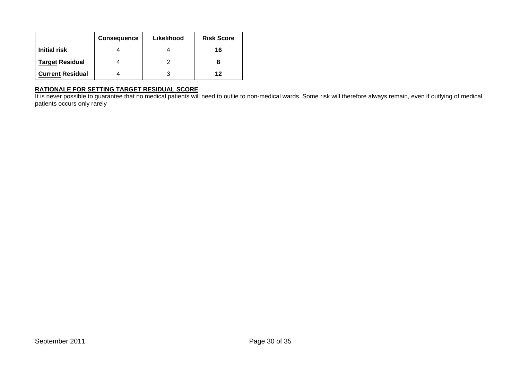|                         | <b>Consequence</b> | Likelihood | <b>Risk Score</b> |
|-------------------------|--------------------|------------|-------------------|
| <b>Initial risk</b>     |                    |            | 16                |
| <b>Target Residual</b>  |                    |            |                   |
| <b>Current Residual</b> |                    |            | 12                |

**RATIONALE FOR SETTING TARGET RESIDUAL SCORE**  It is never possible to guarantee that no medical patients will need to outlie to non-medical wards. Some risk will therefore always remain, even if outlying of medical patients occurs only rarely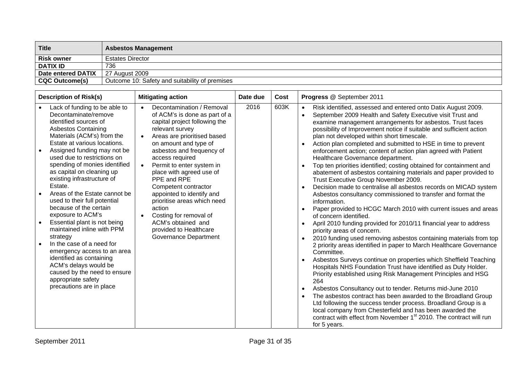| Title              | <b>Asbestos Management</b>                     |
|--------------------|------------------------------------------------|
| <b>Risk owner</b>  | <b>Estates Director</b>                        |
| <b>DATIX ID</b>    | 736                                            |
| Date entered DATIX | 27 August 2009                                 |
| CQC Outcome(s)     | Outcome 10: Safety and suitability of premises |

| <b>Description of Risk(s)</b>                                                                                                                                                                                                                                                                                                                                                                                                                                                                                                                                                                                                                                                                                                                             | <b>Mitigating action</b>                                                                                                                                                                                                                                                                                                                                                                                                                                                                                                                      | Date due | Cost | Progress @ September 2011                                                                                                                                                                                                                                                                                                                                                                                                                                                                                                                                                                                                                                                                                                                                                                                                                                                                                                                                                                                                                                                                                                                                                                                                                                                                                                                                                                                                                                                                                                                                                                                                                                                                                                                                                                    |
|-----------------------------------------------------------------------------------------------------------------------------------------------------------------------------------------------------------------------------------------------------------------------------------------------------------------------------------------------------------------------------------------------------------------------------------------------------------------------------------------------------------------------------------------------------------------------------------------------------------------------------------------------------------------------------------------------------------------------------------------------------------|-----------------------------------------------------------------------------------------------------------------------------------------------------------------------------------------------------------------------------------------------------------------------------------------------------------------------------------------------------------------------------------------------------------------------------------------------------------------------------------------------------------------------------------------------|----------|------|----------------------------------------------------------------------------------------------------------------------------------------------------------------------------------------------------------------------------------------------------------------------------------------------------------------------------------------------------------------------------------------------------------------------------------------------------------------------------------------------------------------------------------------------------------------------------------------------------------------------------------------------------------------------------------------------------------------------------------------------------------------------------------------------------------------------------------------------------------------------------------------------------------------------------------------------------------------------------------------------------------------------------------------------------------------------------------------------------------------------------------------------------------------------------------------------------------------------------------------------------------------------------------------------------------------------------------------------------------------------------------------------------------------------------------------------------------------------------------------------------------------------------------------------------------------------------------------------------------------------------------------------------------------------------------------------------------------------------------------------------------------------------------------------|
| Lack of funding to be able to<br>Decontaminate/remove<br>identified sources of<br><b>Asbestos Containing</b><br>Materials (ACM's) from the<br>Estate at various locations.<br>Assigned funding may not be<br>used due to restrictions on<br>spending of monies identified<br>as capital on cleaning up<br>existing infrastructure of<br>Estate.<br>Areas of the Estate cannot be<br>used to their full potential<br>because of the certain<br>exposure to ACM's<br>Essential plant is not being<br>$\bullet$<br>maintained inline with PPM<br>strategy<br>In the case of a need for<br>emergency access to an area<br>identified as containing<br>ACM's delays would be<br>caused by the need to ensure<br>appropriate safety<br>precautions are in place | Decontamination / Removal<br>$\bullet$<br>of ACM's is done as part of a<br>capital project following the<br>relevant survey<br>Areas are prioritised based<br>on amount and type of<br>asbestos and frequency of<br>access required<br>Permit to enter system in<br>$\bullet$<br>place with agreed use of<br>PPE and RPE<br>Competent contractor<br>appointed to identify and<br>prioritise areas which need<br>action<br>Costing for removal of<br>$\bullet$<br>ACM's obtained and<br>provided to Healthcare<br><b>Governance Department</b> | 2016     | 603K | Risk identified, assessed and entered onto Datix August 2009.<br>September 2009 Health and Safety Executive visit Trust and<br>$\bullet$<br>examine management arrangements for asbestos. Trust faces<br>possibility of Improvement notice if suitable and sufficient action<br>plan not developed within short timescale.<br>Action plan completed and submitted to HSE in time to prevent<br>enforcement action; content of action plan agreed with Patient<br>Healthcare Governance department.<br>Top ten priorities identified; costing obtained for containment and<br>abatement of asbestos containing materials and paper provided to<br>Trust Executive Group November 2009.<br>Decision made to centralise all asbestos records on MICAD system<br>Asbestos consultancy commissioned to transfer and format the<br>information.<br>Paper provided to HCGC March 2010 with current issues and areas<br>$\bullet$<br>of concern identified.<br>April 2010 funding provided for 2010/11 financial year to address<br>priority areas of concern.<br>2010 funding used removing asbestos containing materials from top<br>2 priority areas identified in paper to March Healthcare Governance<br>Committee.<br>Asbestos Surveys continue on properties which Sheffield Teaching<br>Hospitals NHS Foundation Trust have identified as Duty Holder.<br>Priority established using Risk Management Principles and HSG<br>264<br>Asbestos Consultancy out to tender. Returns mid-June 2010<br>The asbestos contract has been awarded to the Broadland Group<br>Ltd following the success tender process. Broadland Group is a<br>local company from Chesterfield and has been awarded the<br>contract with effect from November 1 <sup>st</sup> 2010. The contract will run<br>for 5 years. |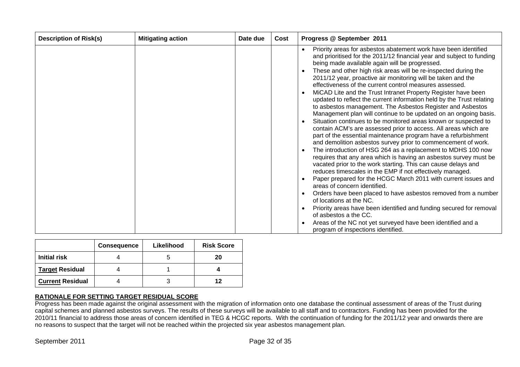| <b>Description of Risk(s)</b> | <b>Mitigating action</b> | Date due | Cost | Progress @ September 2011                                                                                                                                                                                                                                                                                                                                                                                                                                                                                                                                                                                                                                                                                                                                                                                                                                                                                                                                                                                                                                                                                                                                                                                                                                                                                                                                                                                                                                                              |
|-------------------------------|--------------------------|----------|------|----------------------------------------------------------------------------------------------------------------------------------------------------------------------------------------------------------------------------------------------------------------------------------------------------------------------------------------------------------------------------------------------------------------------------------------------------------------------------------------------------------------------------------------------------------------------------------------------------------------------------------------------------------------------------------------------------------------------------------------------------------------------------------------------------------------------------------------------------------------------------------------------------------------------------------------------------------------------------------------------------------------------------------------------------------------------------------------------------------------------------------------------------------------------------------------------------------------------------------------------------------------------------------------------------------------------------------------------------------------------------------------------------------------------------------------------------------------------------------------|
|                               |                          |          |      | Priority areas for asbestos abatement work have been identified<br>and prioritised for the 2011/12 financial year and subject to funding<br>being made available again will be progressed.<br>These and other high risk areas will be re-inspected during the<br>2011/12 year, proactive air monitoring will be taken and the<br>effectiveness of the current control measures assessed.<br>MiCAD Lite and the Trust Intranet Property Register have been<br>updated to reflect the current information held by the Trust relating<br>to asbestos management. The Asbestos Register and Asbestos<br>Management plan will continue to be updated on an ongoing basis.<br>Situation continues to be monitored areas known or suspected to<br>contain ACM's are assessed prior to access. All areas which are<br>part of the essential maintenance program have a refurbishment<br>and demolition asbestos survey prior to commencement of work.<br>The introduction of HSG 264 as a replacement to MDHS 100 now<br>requires that any area which is having an asbestos survey must be<br>vacated prior to the work starting. This can cause delays and<br>reduces timescales in the EMP if not effectively managed.<br>Paper prepared for the HCGC March 2011 with current issues and<br>areas of concern identified.<br>Orders have been placed to have asbestos removed from a number<br>of locations at the NC.<br>Priority areas have been identified and funding secured for removal |
|                               |                          |          |      | of asbestos a the CC.<br>Areas of the NC not yet surveyed have been identified and a                                                                                                                                                                                                                                                                                                                                                                                                                                                                                                                                                                                                                                                                                                                                                                                                                                                                                                                                                                                                                                                                                                                                                                                                                                                                                                                                                                                                   |
|                               |                          |          |      | program of inspections identified.                                                                                                                                                                                                                                                                                                                                                                                                                                                                                                                                                                                                                                                                                                                                                                                                                                                                                                                                                                                                                                                                                                                                                                                                                                                                                                                                                                                                                                                     |

|                         | <b>Consequence</b> | Likelihood | <b>Risk Score</b> |
|-------------------------|--------------------|------------|-------------------|
| <b>Initial risk</b>     |                    |            | 20                |
| <b>Target Residual</b>  |                    |            |                   |
| <b>Current Residual</b> |                    |            | 12                |

Progress has been made against the original assessment with the migration of information onto one database the continual assessment of areas of the Trust during capital schemes and planned asbestos surveys. The results of these surveys will be available to all staff and to contractors. Funding has been provided for the 2010/11 financial to address those areas of concern identified in TEG & HCGC reports. With the continuation of funding for the 2011/12 year and onwards there are no reasons to suspect that the target will not be reached within the projected six year asbestos management plan.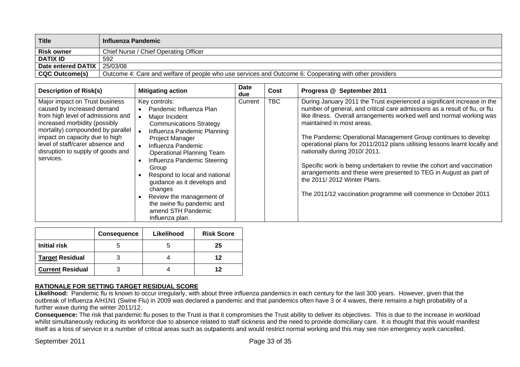| Title              | <b>Influenza Pandemic</b>                                                                              |
|--------------------|--------------------------------------------------------------------------------------------------------|
| <b>Risk owner</b>  | Chief Nurse / Chief Operating Officer                                                                  |
| <b>DATIX ID</b>    | 592                                                                                                    |
| Date entered DATIX | 25/03/08                                                                                               |
| CQC Outcome(s)     | Outcome 4: Care and welfare of people who use services and Outcome 6: Cooperating with other providers |

| <b>Description of Risk(s)</b>                                                                                                                                                                                                                                                                   | <b>Mitigating action</b>                                                                                                                                                                                                                                                                                                                                                                                                       | Date<br>due | Cost       | Progress @ September 2011                                                                                                                                                                                                                                                                                                                                                                                                                                                                                                                                                                                                                                                                    |
|-------------------------------------------------------------------------------------------------------------------------------------------------------------------------------------------------------------------------------------------------------------------------------------------------|--------------------------------------------------------------------------------------------------------------------------------------------------------------------------------------------------------------------------------------------------------------------------------------------------------------------------------------------------------------------------------------------------------------------------------|-------------|------------|----------------------------------------------------------------------------------------------------------------------------------------------------------------------------------------------------------------------------------------------------------------------------------------------------------------------------------------------------------------------------------------------------------------------------------------------------------------------------------------------------------------------------------------------------------------------------------------------------------------------------------------------------------------------------------------------|
| Major impact on Trust business<br>caused by increased demand<br>from high level of admissions and<br>increased morbidity (possibly<br>mortality) compounded by parallel<br>impact on capacity due to high<br>level of staff/carer absence and<br>disruption to supply of goods and<br>services. | Key controls:<br>Pandemic Influenza Plan<br>Major Incident<br><b>Communications Strategy</b><br>Influenza Pandemic Planning<br>Project Manager<br>Influenza Pandemic<br><b>Operational Planning Team</b><br>Influenza Pandemic Steering<br>Group<br>Respond to local and national<br>guidance as it develops and<br>changes<br>Review the management of<br>the swine flu pandemic and<br>amend STH Pandemic<br>Influenza plan. | Current     | <b>TBC</b> | During January 2011 the Trust experienced a significant increase in the<br>number of general, and critical care admissions as a result of flu, or flu<br>like illness. Overall arrangements worked well and normal working was<br>maintained in most areas.<br>The Pandemic Operational Management Group continues to develop<br>operational plans for 2011/2012 plans utilising lessons learnt locally and<br>nationally during 2010/2011.<br>Specific work is being undertaken to revise the cohort and vaccination<br>arrangements and these were presented to TEG in August as part of<br>the 2011/2012 Winter Plans.<br>The 2011/12 vaccination programme will commence in October 2011 |

|                         | <b>Consequence</b> | Likelihood | <b>Risk Score</b> |
|-------------------------|--------------------|------------|-------------------|
| Initial risk            |                    |            | 25                |
| <b>Target Residual</b>  |                    |            | 12                |
| <b>Current Residual</b> |                    |            | 12                |

 **Likelihood:** Pandemic flu is known to occur irregularly, with about three influenza pandemics in each century for the last 300 years. However, given that the outbreak of Influenza A/H1N1 (Swine Flu) in 2009 was declared a pandemic and that pandemics often have 3 or 4 waves, there remains a high probability of a further wave during the winter 2011/12.

Consequence: The risk that pandemic flu poses to the Trust is that it compromises the Trust ability to deliver its objectives. This is due to the increase in workload whilst simultaneously reducing its workforce due to absence related to staff sickness and the need to provide domiciliary care. It is thought that this would manifest itself as a loss of service in a number of critical areas such as outpatients and would restrict normal working and this may see non emergency work cancelled.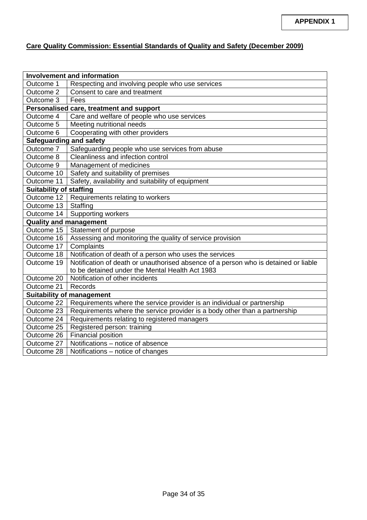# **Care Quality Commission: Essential Standards of Quality and Safety (December 2009)**

| <b>Involvement and information</b>       |                                                                                     |  |  |  |  |  |
|------------------------------------------|-------------------------------------------------------------------------------------|--|--|--|--|--|
| Outcome 1                                | Respecting and involving people who use services                                    |  |  |  |  |  |
| Outcome 2                                | Consent to care and treatment                                                       |  |  |  |  |  |
| Outcome 3                                | Fees                                                                                |  |  |  |  |  |
| Personalised care, treatment and support |                                                                                     |  |  |  |  |  |
| Outcome 4                                | Care and welfare of people who use services                                         |  |  |  |  |  |
| Outcome 5                                | Meeting nutritional needs                                                           |  |  |  |  |  |
| Outcome 6                                | Cooperating with other providers                                                    |  |  |  |  |  |
| <b>Safeguarding and safety</b>           |                                                                                     |  |  |  |  |  |
| Outcome 7                                | Safeguarding people who use services from abuse                                     |  |  |  |  |  |
| Outcome 8                                | Cleanliness and infection control                                                   |  |  |  |  |  |
| Outcome 9                                | Management of medicines                                                             |  |  |  |  |  |
| Outcome 10                               | Safety and suitability of premises                                                  |  |  |  |  |  |
| Outcome 11                               | Safety, availability and suitability of equipment                                   |  |  |  |  |  |
| <b>Suitability of staffing</b>           |                                                                                     |  |  |  |  |  |
| Outcome 12                               | Requirements relating to workers                                                    |  |  |  |  |  |
| Outcome 13                               | Staffing                                                                            |  |  |  |  |  |
| Outcome 14                               | Supporting workers                                                                  |  |  |  |  |  |
| <b>Quality and management</b>            |                                                                                     |  |  |  |  |  |
| Outcome 15                               | Statement of purpose                                                                |  |  |  |  |  |
| Outcome 16                               | Assessing and monitoring the quality of service provision                           |  |  |  |  |  |
| Outcome 17                               | Complaints                                                                          |  |  |  |  |  |
| Outcome 18                               | Notification of death of a person who uses the services                             |  |  |  |  |  |
| Outcome 19                               | Notification of death or unauthorised absence of a person who is detained or liable |  |  |  |  |  |
|                                          | to be detained under the Mental Health Act 1983                                     |  |  |  |  |  |
| Outcome 20                               | Notification of other incidents                                                     |  |  |  |  |  |
| Outcome 21                               | Records                                                                             |  |  |  |  |  |
| <b>Suitability of management</b>         |                                                                                     |  |  |  |  |  |
| Outcome 22                               | Requirements where the service provider is an individual or partnership             |  |  |  |  |  |
| Outcome 23                               | Requirements where the service provider is a body other than a partnership          |  |  |  |  |  |
| Outcome 24                               | Requirements relating to registered managers                                        |  |  |  |  |  |
| Outcome 25                               | Registered person: training                                                         |  |  |  |  |  |
| Outcome 26                               | Financial position                                                                  |  |  |  |  |  |
| Outcome 27                               | Notifications - notice of absence                                                   |  |  |  |  |  |
| Outcome 28                               | Notifications - notice of changes                                                   |  |  |  |  |  |